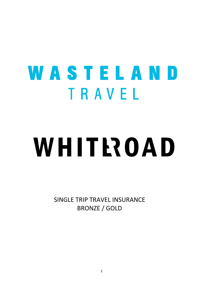# WASTELAND TRAVEL WHITROAD

SINGLE TRIP TRAVEL INSURANCE BRONZE / GOLD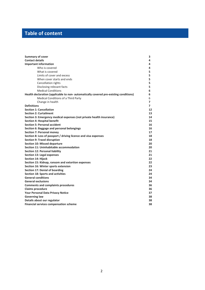# **Table of content**

| <b>Summary of cover</b>                                                               | З              |
|---------------------------------------------------------------------------------------|----------------|
| <b>Contact details</b>                                                                | 4              |
| <b>Important information</b>                                                          | 4              |
| Who is covered                                                                        | 4              |
| What is covered                                                                       | 5              |
| Limits of cover and excess                                                            | 5              |
| When cover starts and ends                                                            | 5              |
| <b>Cancellation rights</b>                                                            | 5              |
| Disclosing relevant facts                                                             | 5.             |
| <b>Medical Conditions</b>                                                             | 6              |
| Health declaration (applicable to non- automatically covered pre-existing conditions) | 6              |
| Medical Conditions of a Third Party                                                   | 6              |
| Change in health                                                                      | $\overline{ }$ |
| <b>Definitions</b>                                                                    | $\overline{7}$ |
| <b>Section 1: Cancellation</b>                                                        | 12             |
| <b>Section 2: Curtailment</b>                                                         | 13             |
| Section 3: Emergency medical expenses (not private health insurance)                  | 14             |
| <b>Section 4: Hospital benefit</b>                                                    | 15             |
| <b>Section 5: Personal accident</b>                                                   | 16             |
| Section 6: Baggage and personal belongings                                            | 16             |
| <b>Section 7: Personal money</b>                                                      | 17             |
| Section 8: Loss of passport / driving licence and visa expenses                       | 18             |
| <b>Section 9: Travel disruption</b>                                                   | 18             |
| <b>Section 10: Missed departure</b>                                                   | 20             |
| Section 11: Uninhabitable accommodation                                               | 20             |
| <b>Section 12: Personal liability</b>                                                 | 21             |
| <b>Section 13: Legal expenses</b>                                                     | 21             |
| <b>Section 14: Hijack</b>                                                             | 22             |
| Section 15: Kidnap, ransom and extortion expenses                                     | 22             |
| Section 16: Winter sports extension                                                   | 23             |
| Section 17: Denial of boarding                                                        | 24             |
| <b>Section 18: Sports and activities</b>                                              | 24             |
| <b>General conditions</b>                                                             | 34             |
| <b>General exclusions</b>                                                             | 34             |
| <b>Comments and complaints procedures</b>                                             | 36             |
| <b>Claims procedure</b>                                                               | 36             |
| <b>Your Personal Data Privacy Notice</b>                                              | 37             |
| <b>Governing law</b>                                                                  | 38             |
| Details about our regulator                                                           | 38             |
| <b>Financial services compensation scheme</b>                                         | 38             |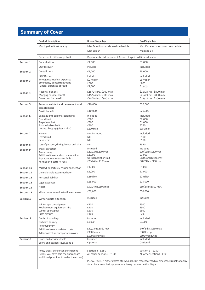# **Summary of Cover**

|            | <b>Product description</b>                                               | <b>Bronze Single Trip</b>                                                                    | <b>Gold Single Trip</b>             |
|------------|--------------------------------------------------------------------------|----------------------------------------------------------------------------------------------|-------------------------------------|
|            | Max trip duration/ max age                                               | Max Duration - as shown in schedule                                                          | Max Duration - as shown in schedule |
|            |                                                                          | Max age 64                                                                                   | Max age 64                          |
|            | Dependent children age limit                                             | Dependent children under 23 years of age in full time education                              |                                     |
| Section 1  | Cancellation                                                             | £1,000                                                                                       | £3,000                              |
|            | COVID cover                                                              | Included                                                                                     | Included                            |
| Section 2  | Curtailment                                                              | £1,000                                                                                       | £3,000                              |
|            | COVID cover                                                              | Included                                                                                     | Included                            |
| Section 3  | Emergency medical expenses<br><b>Emergency dental treatment</b>          | £2 million<br>£300                                                                           | £5 million<br>£800                  |
|            | Funeral expenses abroad                                                  | £1,500                                                                                       | £1,500                              |
| Section 4  | Hospital benefit                                                         | £15/24 hrs. £300 max                                                                         | £25/24 hrs. £800 max                |
|            | Mugging hospital benefit                                                 | £15/24 hrs. £300 max                                                                         | £25/24 hrs. £800 max                |
|            | Coma hospital benefit                                                    | £15/24 hrs. £300 max                                                                         | £25/24 hrs. £800 max                |
| Section 5  | Personal accident and permanent total                                    | £10,000                                                                                      | £20,000                             |
|            | disablement<br>Death benefit                                             | £10,000                                                                                      | £20,000                             |
| Section 6  | Baggage and personal belongings                                          | Included                                                                                     | Included                            |
|            | Overall limit                                                            | £300                                                                                         | £2,000                              |
|            | Single item limit<br>Total valuables limit                               | £300<br>£300                                                                                 | £1.000<br>£750                      |
|            | Delayed baggage(after 12 hrs)                                            | £100 max                                                                                     | £150 max                            |
| Section 7  | Money                                                                    | Not included                                                                                 | Included                            |
|            | Overall limit<br>Cash limit                                              | <b>NIL</b><br><b>NIL</b>                                                                     | £100<br>£100                        |
| Section 8  | Loss of passport, driving licence and visa                               | <b>NIL</b>                                                                                   | £550                                |
|            | Travel disruption                                                        | Included                                                                                     | Included                            |
| Section 9  | Travel delay                                                             | £20/12 hrs. £300 max                                                                         | £20/12 hrs. £300 max                |
|            | Additional travel and accommodation                                      | £1,000<br>Up to cancellation limit                                                           | £1,000<br>Up to cancellation limit  |
|            | Trip abandonment (after 24 hrs)<br>Kennel and cattery fees               | £20/24 hrs. £100 max                                                                         | £20/24 hrs. £100 max                |
| Section 10 | Missed departure / missed connection                                     | £1,000                                                                                       | £1,000                              |
| Section 11 | Uninhabitable accommodation                                              | £1,000                                                                                       | £1,000                              |
| Section 12 | Personal liability                                                       | £2 million                                                                                   | £2 million                          |
| Section 13 | Legal expenses                                                           | £25,000                                                                                      | £25,000                             |
| Section 14 | Hijack                                                                   | £50/24 hrs.£500 max.                                                                         | £50/24 hrs.£500 max.                |
| Section 15 | Kidnap, ransom and extortion expenses                                    | £50,000                                                                                      | £50,000                             |
| Section 16 | Winter Sports extension                                                  | Included                                                                                     | Included                            |
|            | Winter sports equipment                                                  | £200                                                                                         | £500                                |
|            | Replacement equipment hire                                               | £200                                                                                         | £500                                |
|            | Winter sports pack<br>Piste closure                                      | £200<br>£100                                                                                 | £500<br>£200                        |
| Section 17 | Denial of boarding -                                                     | Included                                                                                     | Included                            |
|            | Outward Journey                                                          | £1,000                                                                                       | £3,000                              |
|            | Return Journey                                                           | £40/24hrs. £560 max                                                                          | £40/24hrs. £560 max                 |
|            | Additional accommodation costs<br>Additional return transportation costs | £300 Europe                                                                                  | £300 Europe                         |
|            |                                                                          | £500 Worldwide                                                                               | £500 Worldwide                      |
| Section 18 | Sports and activities level 1<br>Sports and activities level 2 and 3     | Included<br>Optional                                                                         | Included<br>Optional                |
|            |                                                                          |                                                                                              |                                     |
|            | Policy Excess per person per incident                                    | Section 3 - £250                                                                             | Section 3 - £250                    |
|            | (unless you have paid the appropriate                                    | All other sections - £100                                                                    | All other sections - £80            |
|            | additional premium to waive the excess)                                  | PLEASE NOTE: A higher excess of £875 applies in respect of medical emergency repatriation by |                                     |
|            |                                                                          | air ambulance or helicopter service being required within Nepal.                             |                                     |
|            |                                                                          |                                                                                              |                                     |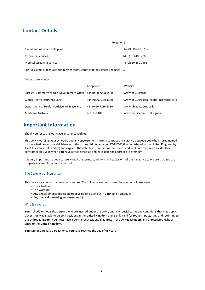# **Contact Details**

| Telephone           |
|---------------------|
| +44 (0)330 660 0785 |
| +44 (0)333 400 7780 |
| +44 (0)330 660 0563 |
|                     |

For full claims procedures and further claims contact details please see page 36.

# Other useful contacts

|                                                                | Telephone           | Website                                 |
|----------------------------------------------------------------|---------------------|-----------------------------------------|
| Foreign, Commonwealth & Development Office +44 (0)20 7008 1500 |                     | www.gov.uk/fcdo                         |
| Global Health Insurance Card                                   | +44 (0)300 330 1350 | www.gov.uk/global-health-insurance-card |
| Department of Health - Advice for Travellers                   | +44 (0)20 7210 4850 | www.dh.gov.uk/travellers                |
| Medicare Australia                                             | $+61-132-011$       | www.medicareaustralia.gov.au            |

# **Important Information**

Thank **you** for taking out travel Insurance with **us**.

This policy wording, **your** schedule and any endorsements form a contract of insurance between **you** (the insured named on the schedule) and **us**, (Millstream Underwriting Ltd on behalf of AWP P&C SA administered in the **United Kingdom** by AWP Assistance UK Limited) and explains the definitions, conditions, exclusions and limits of cover **we** provide. This contract is only valid when **you** have a valid schedule and have paid the appropriate premium.

It is very important that **you** carefully read the terms, conditions and exclusions of this insurance to ensure that **you** are properly covered for **your** planned trip.

# The Contract of Insurance

This policy is a contract between **you** and **us**. The following elements form the contract of insurance:

- The schedule
- This wording.
- Any endorsements applicable to **your** policy as set out in **your** policy schedule.
- Any **medicalscreening endorsement**(s).

# <span id="page-3-0"></span>Who is covered

Your schedule shows the persons who are insured under the policy and any special terms and conditions that may apply. Cover is only available to persons resident in the **United Kingdom** and is only valid for round trips starting and returning to the **United Kingdom**. **You** must have a permanent residential address in the **United Kingdom** and unrestricted right of entry to the **United Kingdom**.

<span id="page-3-1"></span>**You** cannot purchase a policy once **you** have reached the age of 65 years.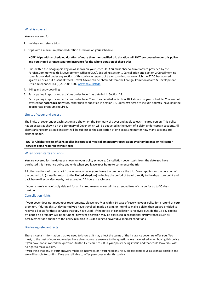# What is covered

#### **You** are covered for:

- 1. holidays and leisure trips.
- 2. trips with a maximum planned duration as shown on **your** schedule

**NOTE: trips with a scheduled duration of more than the specified trip duration will NOT be covered under this policy and you should arrange separate insurance for the whole duration of these trips**

- 3. Trips within the Geographic Region as shown on **your** schedule. **You** must observe travel advice provided by the Foreign,Commonwealth & Development Office (FCDO). Excluding Section 1 Cancellation and Section 2 Curtailment no cover is provided under any section of this policy in respect of travel to a destination which the FCDO has advised against all or all but essential travel. Travel Advice can be obtained from the Foreign, Commonwealth & Development Office Telephone: +44 (0)20 7008 1500 [www.gov.uk/fcdo.](http://www.gov.uk/fcdo)
- 4. Skiing and snowboarding.
- 5. Participating in sports and activities under Level 1 as detailed in Section 18.
- 6. Participating in sports and activities under Level 2 and 3 as detailed in Section 18 if shown on **your** schedule. **You** are not covered for **hazardous activities**, other than as specified in Section 18, unless **we** agree to include and **you** have paid the appropriate premium required.

## <span id="page-4-0"></span>Limits of cover and excess

The limits of cover under each section are shown on the Summary of Cover and apply to each insured person. This policy has an excess as shown on the Summary of Cover which will be deducted in the event of a claim under certain sections. All claims arising from a single incident will be subject to the application of one excess no matter how many sections are claimed under.

# NOTE: A higher excess of £875 applies in respect of medical emergency repatriation by air ambulance or helicopter **services being required within Nepal**

#### <span id="page-4-1"></span>When cover starts and ends

**You** are covered for the dates as shown on **your** policy schedule. Cancellation cover starts from the date **you** have purchased this insurance policy and ends when **you** leave **your home** to commence the trip.

All other sections of cover start from when **you** leave **your home** to commence the trip. Cover applies for the duration of the booked trip (or earlier return to the **United Kingdom**) including the period of travel directly to the departure point and back **home** directly afterwards, not exceeding 24 hours in each case.

If **your** return is unavoidably delayed for an insured reason, cover will be extended free of charge for up to 30 days maximum.

#### <span id="page-4-2"></span>Cancellation rights

If **your** cover does not meet **your** requirements, please notify **us** within 14 days of receiving **your** policy for a refund of **your** premium. If during this 14 day period **you** have travelled, made a claim, or intend to make a claim then **we** are entitled to recover all costs for those services that **you** have used. If the notice of cancellation is received outside the 14 day coolingoff period no premium will be refunded, however discretion may be exercised in exceptional circumstances such as bereavement or a change to the policy resulting in us declining to cover **your** medical conditions.

#### <span id="page-4-3"></span>Disclosing relevant facts

There is certain information that **we** need to know as it may affect the terms of the insurance cover **we** offer **you**. **You** must, to the best of **your** knowledge, have given accurate answers to the questions **we** have asked when buying this policy. If **you** have not answered the questions truthfully it could result in **your** policy being invalid and that could leave **you** with no right to make a claim.

If **you** think that any of **your** answers might be incorrect, or if **you** need any help, please contact **us** as soon as possible and **we** will be able to confirm if **we** are still able to offer **you** cover under this policy.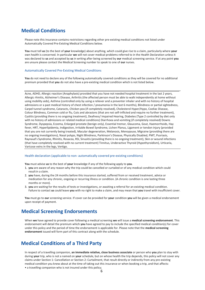# **Medical Conditions**

Please note this insurance contains restrictions regarding other pre-existing medical conditions not listed under Automatically Covered Pre-Existing Medical Conditions below.

**You** must tell **us** (to the best of **your** knowledge) about anything, which could give rise to a claim, particularly where **your** own health is concerned. In particular **we** will not cover medical problems referred to in the Health Declaration unless it was declared to **us** and accepted by **us** in writing after being screened by **our** medical screening service. If at any point **you** are unsure please contact the Medical Screening number to speak to one of **our** nurses.

#### Automatically Covered Pre-Existing Medical Conditions

**You** do not need to declare any of the following automatically covered conditions as they will be covered for no additional premium provided that **you** do not also have a pre-existing medical condition which is not listed below.

Acne, ADHD, Allergic reaction (Anaphylaxis) provided that you have not needed hospital treatment in the last 2 years, Allergic rhinitis, Alzheimer's Disease, Arthritis (the affected person must be able to walk independently at home without using mobility aids), Asthma (controlled only by using a reliever and a preventer inhaler and with no history of hospital admissions or a past medical history of chest infection / pneumonia in the last 6 months), Blindness or partial sightedness, Carpel tunnel syndrome, Cataracts, Chicken pox (if completely resolved), Cholesterol Hyper/Hypo, Coeliac Disease, Colour Blindness, Common cold or flu, Cuts and abrasions (that are not self-inflicted and require no further treatment), Cystitis (providing there is no ongoing treatment), Deafness/ Impaired Hearing, Diabetes (Type 2 controlled by diet only with no history of admissions or related medical conditions) Diarrhoea and vomiting (if completely resolved) Downs Syndrome, Dyspepsia, Eczema, Enlarged prostate (benign only), Essential tremor, Glaucoma, Gout, Haemorrhoids, Hay fever, HRT, Hyperlipidemia, Indigestion, Irritable Bowel Syndrome, Lichen Planus, Ligament or tendon injury (provided that you are not currently being treated), Macular degeneration, Melanosis, Menopause, Migraine (providing there are no ongoing investigations), Nasal polyps, Night Blindness, Parkinson's Disease, Physically Disabled, PMT, Psoriasis, Raynaud's Syndrome, Rhinitis, Rosacea, RSI, Sinusitis (providing there is no ongoing treatment), Skin or wound infections (that have completely resolved with no current treatment) Tinnitus, Underactive Thyroid (Hypothyroidism), Urticaria, Varicose veins in the legs, Vertigo.

# <span id="page-5-0"></span>Health declaration (applicable to non- automatically covered pre-existing conditions)

**You** must advise **us** to the best of **your** knowledge if any of the following apply to **you**.

- 1. **you** are aware of any reason why the trip could be cancelled or curtailed or of any medical condition which could result in a claim.
- 2. **you** have, during the 24 months before this insurance started, suffered from or received treatment, advice or medication for any chronic, ongoing or recurring illness or condition. (A chronic condition is one lasting three months or more).
- 3. **you** are waiting for the results of tests or investigations, or awaiting a referral for an existing medical condition. Failure to contact **us** could leave **you** with no right to make a claim, and may mean that **you** travel with insufficient cover.

**You** must go to **our** screening service. If cover can be provided for **your** condition **you** will be given a medical endorsement upon receipt of payment.

# **Medical Screening Endorsements**

When **we** have agreed to provide cover following a medical screening **we** will issue a **medical screening endorsement**. This endorsement will detail the premium which **you** have agreed to pay to include the specified medical condition(s) for cover under this policy and the period of time the endorsement is applicable for. Please note that the **medical screening endorsement** issued will form part of this contract along with the schedule.

# <span id="page-5-1"></span>**Medical Conditions of a Third Party**

In respect of a travelling companion, **an immediate relative, close business associate** or person who **you** plan to stay with during **your** trip, who is not a named on **your** schedule, but on whose health the trip depends, this policy will not cover any claims under Section 1: Cancellation or Section 2: Curtailment, that result directly or indirectly from any pre-existing medical condition you knew about at the time of taking out this insurance or when booking a trip, and that affects:

• a travelling companion who is not insured under this policy;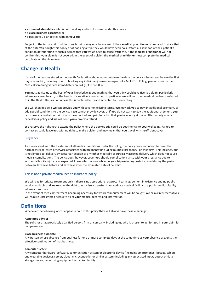- an **immediate relative** who is not travelling and is not insured under this policy;
- a **close business associate**; or
- a person you plan to stay with on **your** trip.

Subject to the terms and conditions, such claims may only be covered if their **medical practitioner** is prepared to state that at the date **you** bought this policy or of booking a trip, they would have seen no substantial likelihood of their patient's condition deteriorating to such a degree that **you** would need to cancel **your** trip. If the **medical practitioner** will not confirm this, **your** claim is not covered. In the event of a claim, the **medical practitioner** must complete the medical certificate on the claim form.

# <span id="page-6-0"></span>**Change In Health**

If any of the reasons stated in the Health Declaration above occur between the date the policy is issued and before the first day of **your** trip, including prior to booking any individual journey in respect of a Multi Trip Policy, **you** must notify the Medical Screening Service immediately on +44 (0)330 660 0563.

**You** must advise **us** to the best of **your** knowledge about anything that **you** think could give rise to a claim, particularly where **your** own health, or the health of a relative is concerned. In particular **we** will not cover medical problems referred to in the Health Declaration unless this is declared to **us** and accepted by **us** in writing.

**We** will then decide if **we** can provide **you** with cover on existing terms. **We** may ask **you** to pay an additional premium, or add special conditions to the policy. If **we** cannot provide cover, or if **you** do not want to pay the additional premium, **you** can make a cancellation claim if **you** have booked and paid for a trip that **you** have not yet made. Alternatively **you** can cancel **your** policy and **we** will send **you** a pro-rata refund.

**We** reserve the right not to extend the policy where the booked trip could be detrimental to **your** wellbeing. Failure to contact **us** could leave **you** with no right to make a claim, and may mean that **you** travel with insufficient cover.

#### Pregnancy

As is consistent with the treatment of all medical conditions under the policy, the policy does not intend to cover the normal costs or losses otherwise associated with pregnancy (including multiple pregnancy) or childbirth. This includes, but is not limited to, delivery by caesarean section or any other medically or surgically assisted delivery which does not cause medical complications. The policy does, however, cover **you** should complications arise with **your** pregnancy due to accidental bodily injury or unexpected illness which occurs while on **your** trip excluding costs incurred during the period between 12 weeks before and 12 weeks after the estimated date of delivery.

## This is not a private medical health insurance policy

**We** will pay for private treatment only if there is no appropriate reciprocal health agreement in existence and no public service available and **we** reserve the right to organise a transfer from a private medical facility to a public medical facility where appropriate.

In the event of medical treatment becoming necessary for which reimbursement will be sought, **we** or **our** representatives will require unrestricted access to all of **your** medical records and information.

# <span id="page-6-1"></span>**Definitions**

Whenever the following words appear in bold in this policy they will always have these meanings:

#### **Appointed adviser**

The solicitor or appropriately qualified person, firm or company, including **us**, who is chosen to act for **you** in **your** claim for compensation.

#### **Close business associate**

Any person whose absence from business for one or more complete days at the same time as **your** absence prevents the effective continuation of that business.

#### **Computer system**

Any computer hardware, software, communication system or electronic device (including smartphones, laptops, tablets and wearable devices), server, cloud, microcontroller or similar system (including any associated input, output or data storage device, networking equipment or backup facility).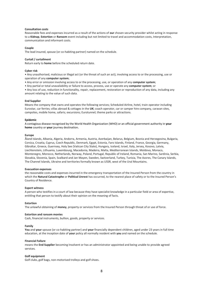## **Consultation costs**

Reasonable fees and expenses incurred as a result of the actions of **our** chosen security provider whilst acting in response to a **Kidnap**, **Extortion** or **Ransom** event including but not limited to travel and accommodation costs, Interpretation, communication and informant costs.

## **Couple**

The lead insured, spouse (or co-habiting partner) named on the schedule.

## **Curtail / curtailment**

Return early to **home** before the scheduled return date.

#### **Cyber risk**

• Any unauthorised, malicious or illegal act (or the threat of such an act), involving access to or the processing, use or operation of any **computer system**;

- Any error or omission involving access to or the processing, use, or operation of any **computer system**;
- Any partial or total unavailability or failure to access, process, use or operate any **computer system**; or

• Any loss of use, reduction in functionality, repair, replacement, restoration or reproduction of any data, including any amount relating to the value of such data.

#### **End Supplier**

Means the company that owns and operates the following services; Scheduled Airline, hotel, train operator including Eurostar, car ferries; villas abroad & cottages in the **UK**; coach operator, car or camper hire company, caravan sites, campsites, mobile home, safaris; excursions; Eurotunnel; theme parks or attractions.

## **Epidemic**

A contagious disease recognised by the World Health Organization (WHO) or an official government authority in **your home** country or **your** journey destination**.**

#### **Europe**

Åland Islands, Albania, Algeria, Andorra, Armenia, Austria, Azerbaijan, Belarus, Belgium, Bosnia and Herzegovina, Bulgaria, Corsica, Croatia, Cyprus, Czech Republic, Denmark, Egypt, Estonia, Faro Islands, Finland, France, Georgia, Germany, Gibraltar, Greece, Guernsey, Holy See (Vatican City State), Hungary, Iceland, Israel, Italy, Jersey, Kosovo, Latvia, Liechtenstein, Lithuania, Luxembourg, Macedonia, Madeira, Malta, Mediterranean Islands, Moldova, Monaco, Montenegro, Morocco, Netherlands, Norway, Poland, Portugal, Republic of Ireland, Romania, San Marino, Sardinia, Serbia, Slovakia, Slovenia, Spain, Svalbard and Jan Mayen, Sweden, Switzerland, Turkey, Tunisia, The Azores, The Canary Islands, The Channel Islands, Ukraine and territories formally known as USSR, west of the Ural Mountains.

### **Evacuation expenses**

the reasonable costs and expenses incurred in the emergency transportation of the Insured Person from the country in which the **Natural Catastrophe** or **Political Unrest** has occurred, to the nearest place of safety or to the Insured Person's Country of Residence.

#### **Expert witness**

A person who testifies in a court of law because they have specialist knowledge in a particular field or area of expertise, entitling that person to testify about their opinion on the meaning of facts.

#### **Extortion**

The unlawful obtaining of **money**, property or services from the Insured Person through threat of or use of force.

#### **Extortion and ransom monies**

Cash, financial instruments, bullion, goods, property or services.

#### **Family**

**You** and **your** spouse (or co-habiting partner) and **your** financially dependent children, aged under 23 years in full time education, at the inception date of **your** policy all normally resident with **you** and named on the schedule.

#### **Financial Failure**

means the **End Supplier** becoming Insolvent or has an administrator appointed and being unable to provide agreed services.

#### **Golf equipment**

Golf clubs, golf bags, non-motorised trolleys and golf shoes.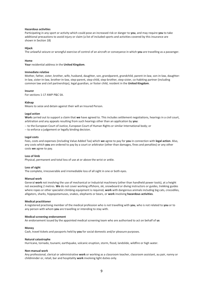#### **Hazardous activities**

Participating in any sport or activity which could pose an increased risk or danger to **you**, and may require **you** to take additional precautions to avoid injury or claim (a list of included sports and activities covered by this insurance are shown in Section 18)

## **Hijack**

The unlawful seizure or wrongful exercise of control of an aircraft or conveyance in which **you** are travelling as a passenger.

## **Home**

**Your** residential address in the **United Kingdom**.

## **Immediate relative**

Mother, father, sister, brother, wife, husband, daughter, son, grandparent, grandchild, parent-in-law, son-in-law, daughterin-law, sister-in-law, brother-in-law, step-parent, step-child, step-brother, step-sister, co-habiting partner (including common law and civil partnerships), legal guardian, or foster child, resident in the **United Kingdom**.

#### **Insurer**

For sections 1-17 AWP P&C SA.

#### **Kidnap**

Means to seize and detain against their will an Insured Person.

#### **Legal action**

**Work** carried out to support a claim that **we** have agreed to. This includes settlement negotiations, hearings in a civil court, arbitration and any appeals resulting from such hearings other than an application by **you**:

-- to the European Court of Justice, European Court of Human Rights or similar International body; or

-- to enforce a judgement or legally binding decision.

#### **Legal costs**

Fees, costs and expenses (including Value Added Tax) which **we** agree to pay for **you** in connection with **legal action**. Also, any costs which **you** are ordered to pay by a court or arbitrator (other than damages, fines and penalties) or any other costs **we** agree to pay.

# **Loss of limb**

Physical, permanent and total loss of use at or above the wrist or ankle.

## **Loss of sight**

The complete, irrecoverable and irremediable loss of all sight in one or both eyes.

## **Manual work**

General **work** not involving the use of mechanical or Industrial machinery (other than handheld power tools), at a height not exceeding 2 metres. **We** do not cover working offshore, ski, snowboard or diving instructors or guides, trekking guides where ropes or other specialist climbing equipment is required, **work** with dangerous animals including big cats, crocodiles, alligators, sharks, hippopotamuses, snakes, elephants or bears, or **work** involving **hazardous activities**.

#### **Medical practitioner**

A registered practising member of the medical profession who is not travelling with **you**, who is not related to **you** or to any person with whom **you** are travelling or intending to stay with.

## **Medical screening endorsement**

An endorsement issued by the appointed medical screening team who are authorised to act on behalf of **us**

#### **Money**

Cash, travel tickets and passports held by **you** for social domestic and/or pleasure purposes.

#### **Natural catastrophe**

Hurricane, tornado, tsunami, earthquake, volcanic eruption, storm, flood, landslide, wildfire or high water.

## **Non-manual work**

Any professional, clerical or administrative **work** or working as a classroom teacher, classroom assistant, au pair, nanny or childminder or, retail, bar and hospitality **work** involving light duties only.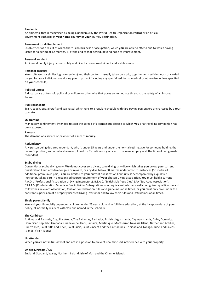#### **Pandemic**

An epidemic that is recognised as being a pandemic by the World Health Organization (WHO) or an official government authority in **your home** country or **your** journey destination.

## **Permanent total disablement**

Disablement as a result of which there is no business or occupation, which **you** are able to attend and to which having lasted for a period of 12 months, is, at the end of that period, beyond hope of improvement.

## **Personal accident**

Accidental bodily injury caused solely and directly by outward violent and visible means.

## **Personal baggage**

**Your** suitcases (or similar luggage carriers) and their contents usually taken on a trip, together with articles worn or carried by **you** for **your** individual use during **your** trip. (Not including any specialised items, medical or otherwise, unless specified on **your** schedule).

## **Political unrest**

A disturbance or turmoil, political or military or otherwise that poses an immediate threat to the safety of an Insured Person.

## **Public transport**

Train, coach, bus, aircraft and sea vessel which runs to a regular schedule with fare paying passengers or chartered by a tour operator.

## **Quarantine**

Mandatory confinement, intended to stop the spread of a contagious disease to which **you** or a travelling companion has been exposed.

#### **Ransom**

The demand of a service or payment of a sum of **money.**

#### **Redundancy**

Any person being declared redundant, who is under 65 years and under the normal retiring age for someone holding that person's position, and who has been employed for 2 continuous years with the same employer at the time of being made redundant.

#### **Scuba diving**

Conventional scuba diving only. **We** do not cover solo diving, cave diving, any dive which takes **you** below **your** current qualification limit, any dive for gain or reward, or any dive below 30 metres under any circumstances (50 metres if additional premium is paid). **You** are limited to **your** current qualification limit, unless accompanied by a qualified instructor, taking part in a recognised course requirement of **your** chosen Diving association. **You** must hold a current P.A.D.I. (Professional Association of Diving Instructors), B.S.A.C. (British Sub Aqua Club) SAA (Sub Aqua Association), C.M.A.S. (Confederation Mondiale Des Activities Subaquatiques), or equivalent internationally recognised qualification and follow their relevant Association, Club or Confederation rules and guidelines at all times, or **you** must only dive under the constant supervision of a properly licensed Diving Instructor and follow their rules and instructions at all times.

#### **Single parent family**

**You** and **your** financially dependent children under 23 years old and in full time education, at the inception date of **your** policy, all normally resident with **you** and named in the schedule.

#### **The Caribbean**

Antigua and Barbuda, Anguilla, Aruba, The Bahamas, Barbados, British Virgin Islands, Cayman Islands, Cuba, Dominica, Dominican Republic, Grenada, Guadeloupe, Haiti, Jamaica, Martinique, Montserrat, Navassa Island, Netherland Antilles, Puerto Rico, Saint Kitts and Nevis, Saint Lucia, Saint Vincent and the Grenadines, Trinidad and Tobago, Turks and Caicos Islands, Virgin Islands.

#### **Unattended**

When **you** are not in full view of and not in a position to prevent unauthorised interference with **your** property.

#### **United Kingdom / UK**

England, Scotland, Wales, Northern Ireland, Isle of Man and the Channel Islands.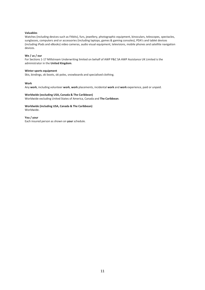## **Valuables**

Watches (including devices such as Fitbits), furs, jewellery, photographic equipment, binoculars, telescopes, spectacles, sunglasses, computers and or accessories (including laptops, games & gaming consoles), PDA's and tablet devices (including iPads and eBooks) video cameras, audio visual equipment, televisions, mobile phones and satellite navigation devices.

## **We / us / our**

For Sections 1-17 Millstream Underwriting limited on behalf of AWP P&C SA AWP Assistance UK Limited is the administrator in the **United Kingdom**.

#### **Winter sports equipment**

Skis, bindings, ski boots, ski poles, snowboards and specialised clothing.

#### **Work**

Any **work**, including volunteer **work**, **work** placements, incidental **work** and **work** experience, paid or unpaid.

# **Worldwide (excluding USA, Canada & The Caribbean)**

Worldwide excluding United States of America, Canada and **The Caribbean**.

# **Worldwide (including USA, Canada & The Caribbean)** Worldwide.

**You / your** Each insured person as shown on **your** schedule.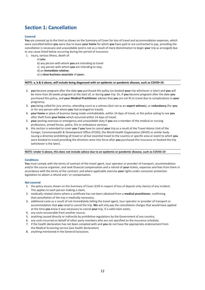# <span id="page-11-0"></span>**Section 1: Cancellation**

# **Covered**

**You** are covered up to the limit as shown on the Summary of Cover for loss of travel and accommodation expenses, which were cancelled before **you** were due to leave **your home** for which **you** have paid or are contracted to pay, providing the cancellation is necessary and unavoidable (and is not as a result of mere disinclination to begin **your** trip as arranged) due to any cause listed below occurring during the period of insurance:

- 1. injury, serious illness, death of:
	- a) **you**;
	- b) any person with whom **you** are intending to travel
	- c) any person with whom **you** are intending to stay;
	- d) an **immediate relative**;
	- e) a **close business associate** of **your**s.

#### NOTE: a, b & d above, will include being diagnosed with an epidemic or pandemic disease, such as COVID-19.

- 2. **you** become pregnant after the date **you** purchased this policy (or booked **your** trip whichever is later) and **you** will be more than 26 weeks pregnant at the start of, or during **your** trip. Or, if **you** become pregnant after the date **you**  purchased this policy, and **your Medical Practitioner** advises that **you** are not fit to travel due to complications in **your**  pregnancy;
- 3. **you** being called for jury service, attending court as a witness (but not as an **expert witness**), or **redundancy** (for **you**  or for any person with whom **you** had arranged to travel);
- 4. **your home** or place of business being made uninhabitable, within 14 days of travel, or the police asking to see **you**  after theft from **your home** which occurred within 14 days of travel;
- 5. **your** posting overseas or emergency and unavoidable duty if **you** are a member of the medical or nursing professions, armed forces, police, fire or ambulance services;
- 6. this section is extended to cover **you** if **you** have to cancel **your** trip as a result of the Travel Advice Unit of the Foreign, Commonwealth & Development Office (FCDO), the World Health Organisation (WHO) or similar body issuing a directive prohibiting all travel or all but essential travel to the country or specific area or event to which **you**  were booked to travel,providing the directive came into force after **you** purchased this insurance or booked the trip (whichever is the later).

#### NOTE: Under 6 above, this does not include advice due to an epidemic or pandemic disease, such as COVID-19

#### **Conditions**

**You** must comply with the terms of contract of the travel agent, tour operator or provider of transport, accommodation and/or the course organiser, and seek financial compensation and a refund of **your** tickets, expenses and fees from them in accordance with the terms of the contract, and where applicable exercise **your** rights under consumer protection legislation to obtain a refund and / or compensation.

### **Not covered**

- 1. the policy excess shown on the Summary of Cover (£20 in respect of loss of deposit only claims) of any incident. This applies to each person making a claim;
- 2. medically related claims where a certificate has not been obtained from a **medical practitioner**, confirming that cancellation of the trip is medically necessary;
- 3. additional costs as a result of not immediately telling the travel agent, tour operator or provider of transport or accommodation that **you** need to cancel the trip. **We** will only pay the cancellation charges that would have applied at the time **you** knew it was necessary to cancel **your** trip, if a valid claim exists;
- 4. any costs recoverable from another source;
- 5. anything caused directly or indirectly by prohibitive regulations by the Government of any country;
- 6. any costs incurred on behalf of other party members who are not specified on the insurance schedule;
- 7. if the health declaration has not been complied with and **you** do not have the appropriate endorsement from the Medical Screening service (see health declaration)
- 8. anything mentioned in the General Exclusions.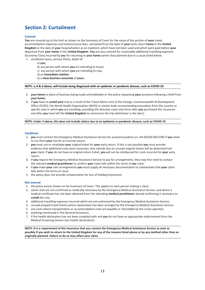# <span id="page-12-0"></span>**Section 2: Curtailment**

# **Covered**

**You** are covered up to the limit as shown on the Summary of Cover for the value of the portion of **your** travel, accommodation expenses and tuition/course fees, calculated from the date of **your** early return **home** in the **United Kingdom** or the date of **your** hospitalisation as an inpatient, which have not been used and which were paid before **your** departure from **your home** in the **United Kingdom**. **You** are also covered for reasonable additional travelling expenses (Economy Class) incurred by **you** for returning to **your home** earlier than planned due to a cause listed below.

1. accidental injury, serious illness, death of:

- a) **you**;
- b) any person with whom **you** are intending to travel;
- c) any person with whom **you** are intending to stay;
- d) an **immediate relative**;
- e) a **close business associate** of **your**s.

#### **NOTE: a, b & d above, will include being diagnosed with an epidemic or pandemic disease, such as COVID-19.**

- 2. **your home** or place of business being made uninhabitable or the police requesting **your** presence following a theft from **your home**;
- 3. if **you** have to **curtail your** trip as a result of the Travel Advice Unit of the Foreign, Commonwealth & Development Office (FCDO), the World Health Organisation (WHO) or similar body recommending evacuation from the country or specific area in which **you** are travelling, providing the directive came into force after **you** purchased this insurance and after **you** have left the **United Kingdom** to commence the trip (whichever is the later);

#### NOTE: Under 3 above, this does not include advice due to an epidemic or pandemic disease, such as COVID-19

#### **Conditions**

- 1. **you** must contact the Emergency Medical Assistance Service for assistance/advice on +44 (0)330 660 0785 if **you** need to cut short **your** trip for an insured reason.
- 2. **you** must use or revalidate **your** original ticket for **your** early return. If this is not possible **you** must provide evidence that additional costs were necessary. Any refunds due on unused original tickets will be deducted from **your** claim. If **you** do not have an original return ticket, **you** will not be reimbursed for costs incurred for **your** early return.
- 3. if **you** require the Emergency Medical Assistance Service to pay for arrangements, they may first need to contact the relevant **medical practitioner** to confirm **your** claim falls within the terms of **our** cover.
- 4. if **you** make **your** own arrangements **you** must supply all necessary documentation to substantiate that **your** claim falls within the terms of cover.
- 5. this policy does not provide compensation for loss of holiday/enjoyment.

#### **Not covered**

- 1. the policy excess shown on the Summary of Cover. This applies to each person making a claim;
- 2. claims that are not confirmed as medically necessary by the Emergency Medical Assistance Service, and where a medical certificate has not been obtained from the attending **medical practitioner** abroad confirming it necessary to **curtail** the trip;
- 3. additional travelling expenses incurred which are not authorised by the Emergency Medical Assistance Service;
- 4. unused prepaid travel tickets where repatriation has been arranged by the Emergency Medical Assistance Service;
- 5. any costs where transportation or accommodation costs are payable or refundable by the cruise operator;
- 6. anything mentioned in the General Exclusions;
- 7. if the health declaration has not been complied with and **you** do not have an appropriate endorsement from the Medical Screening Service (see health declaration).

**NOTE: It is a requirement of this insurance that you contact the Emergency Medical Assistance Service as soon as possible if you wish to return to the United Kingdom for any of the reasons listed above or by any method other than as originally planned. Failure to do so may affect your claim.**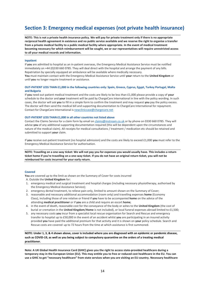# <span id="page-13-0"></span>**Section 3: Emergency medical expenses (not private health insurance)**

**NOTE: This is not a private health insurance policy. We will pay for private treatment only if there is no appropriate reciprocal health agreement in existence and no public service available and we reserve the right to organise a transfer from a private medical facility to a public medical facility where appropriate. In the event of medical treatment becoming necessary for which reimbursement will be sought, we or our representatives will require unrestricted access to all your medical records and information.**

## **Inpatient**

If **you** are admitted to hospital as an in-patient overseas, the Emergency Medical Assistance Service must be notified immediately on +44 (0)330 660 0785. They will deal direct with the hospital and arrange the payment of any bills. Repatriation by specially equipped air ambulance will be available where medically necessary. **You** must maintain contact with the Emergency Medical Assistance Service until **your** return to the **United Kingdom** or until **you** no longer require treatment or assistance.

# **OUT-PATIENT LESS THAN £1,000 in the following countries only: Spain, Greece, Cyprus, Egypt, Turkey Portugal, Malta and Bulgaria**

If **you** need out-patient medical treatment and the costs are likely to be less than £1,000 please provide a copy of **your** schedule to the doctor and **your** treatment will be paid by ChargeCare International in line with the policy wording. In such cases, the doctor will ask **you** to fill in a simple form to confirm the treatment and may request **you** pay the policy excess. The doctor will then send the medical bill and supporting documentation to ChargeCare International for repayment. Contact for ChargeCare International is [newcliniccase@chargecare.net](mailto:newcliniccase@chargecare.net)

## **OUT-PATIENT LESS THAN £1,000 in all other countries not listed above**

Contact the Claims Service for a claim form by email o[n claims@mstream.co.uk](mailto:claims@mstream.co.uk) or by phone on 0330 660 0785. They will advise **you** of any additional supporting documentation required (this will be dependent upon the circumstances and nature of the medical claim). All receipts for medical consultations / treatment / medication etc should be retained and submitted to support **your** claim.

If you receive out-patient treatment (no hospital admission) and the costs are likely to exceed £1,000 you must refer to the Emergency Medical Assistance Service for authorisation.

**NOTE: Travelling on a one-way ticket: We will not pay you for expenses you would usually have. This includes a return ticket home if you're travelling on a one-way ticket. If you do not have an original return ticket, you will not be reimbursed for costs incurred for your early return.**

# **Covered**

**You** are covered up to the limit as shown on the Summary of Cover for costs incurred A. Outside the **United Kingdom** for:

- 1. emergency medical and surgical treatment and hospital charges (including necessary physiotherapy, authorised by the Emergency Medical Assistance Service);
- 2. emergency dental treatment, to relieve pain only, limited to amount shown on the Summary of Cover;
- 3. reasonable and necessary additional accommodation (room only) and travelling expenses **home** (Economy Class), including those of one relative or friend if **you** have to be accompanied **home** on the advice of the attending **medical practitioner** or if **you** are a child and require an escort **home**;
- 4. in the event of death, reasonable cost for the conveyance of the body or ashes to the **United Kingdom** (the cost of burial or cremation in the **United Kingdom**/**Home** is not included), or local funeral expenses abroad limited to £1,500;
- 5. any necessary costs **you** incur from a specialist local rescue organisation for Search and Rescue and emergency transfer to hospital up to £50,000 in the event of an accident whilst **you** are participating in an insured activity provided **you** have paid the additional premium for that activity and it is shown on **your** policy schedule. Search and Rescue costs are covered up to 72 hours from the time at which assistance is first summoned.

**NOTE: Under 1, 3, & 4 shown above, cover is included where you are diagnosed with an epidemic or pandemic disease, such as COVID-19, as well as you being subject to compulsory quarantine on the orders of a treating medical practitioner.**

**Note: A UK Global Health Insurance Card (GHIC) gives you the right to access state-provided healthcare during a temporary stay in the European Union (EU). This may entitle you to free or reduced cost healthcare in the EU. You can** use a GHIC to get "necessary healthcare" from state services when you are visiting an EU country. Necessary healthcare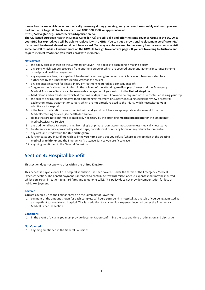**means healthcare, which becomes medically necessary during your stay, and you cannot reasonably wait until you are back in the UK to get it. To obtain a card call 0300 330 1350, or apply online at https:/[/www.ghic.org.uk/Internet/startApplication.do.](http://www.ghic.org.uk/Internet/startApplication.do)**

**The UK-issued European Health Insurance Cards (EHICs) are still valid and offer the same cover as GHICs in the EU. Once your EHIC has expired, you will be able to replace it with a GHIC. You can get a provisional replacement certificate (PRC) if you need treatment abroad and do not have a card. You may also be covered for necessary healthcare when you visit some non-EU countries. Find out more on the GOV.UK foreign travel advice pages. If you are travelling to Australia and require medical treatment, you must enrol with medicare.**

# **Not covered**

- 1. the policy excess shown on the Summary of Cover. This applies to each person making a claim;
- 2. any sums which can be recovered from another source or which are covered under any National Insurance scheme or reciprocal health arrangement;
- 3. any expenses or fees, for in-patient treatment or returning **home** early, which have not been reported to and authorised by the Emergency Medical Assistance Service;
- 4. any expenses incurred for illness, injury or treatment required as a consequence of:
- -- Surgery or medical treatment which in the opinion of the attending **medical practitioner** and the Emergency Medical Assistance Service can be reasonably delayed until **your** return to the **United Kingdom**.
- -- Medication and or treatment which at the time of departure is known to be required or to be continued during **your** trip;
- 5. the cost of any routine or elective (non-emergency) treatment or surgery, including specialist review or referral, exploratory tests, treatment or surgery which are not directly related to the injury, which necessitated **your**  admittance tohospital;
- 6. if the health declaration is not complied with and **you** do not have an appropriate endorsement from the MedicalScreening Service (see health declaration);
- 7. claims that are not confirmed as medically necessary by the attending **medical practitioner** or the Emergency MedicalAssistance Service;
- 8. any additional hospital costs arising from single or private room accommodation unless medically necessary;
- 9. treatment or services provided by a health spa, convalescent or nursing home or any rehabilitation centre;
- 10. any costs incurred within the **United Kingdom**;
- 11. further costs **you** incur if **we** wish to bring **you home** early but **you** refuse (where in the opinion of the treating **medical practitioner** and the Emergency Assistance Service **you** are fit to travel);
- 12. anything mentioned in the General Exclusions.

# <span id="page-14-0"></span>**Section 4: Hospital benefit**

This section does not apply to trips within the **United Kingdom**.

This benefit is payable only if the hospital admission has been covered under the terms of the Emergency Medical Expenses section. The benefit payment is intended to contribute towards miscellaneous expenses that may be incurred whilst **you** are an in-patient (e.g. taxi fares and telephone calls). This policy does not provide compensation for loss of holiday/enjoyment.

# **Covered**

**You** are covered up to the limit as shown on the Summary of Cover for:

1. payment of the amount shown for each complete 24 hours **you** spend in hospital, as a result of **you** being admitted as an in-patient to a registered hospital. This is in addition to any medical expenses incurred under the Emergency Medical Expenses section.

#### **Conditions**

1. in the event of a claim **you** must provide documentation confirming the date and time of admission and discharge.

# **Not Covered**

1. anything mentioned in the General Exclusions.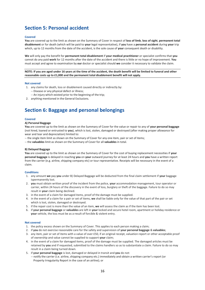# <span id="page-15-0"></span>**Section 5: Personal accident**

### **Covered**

**You** are covered up to the limit as shown on the Summary of Cover in respect of **loss of limb**, **loss of sight**, **permanent total disablement** or for death (which will be paid to **your** legal representative), if **you** have a **personal accident** during **your** trip which, up to 12 months from the date of the accident, is the sole cause of **your** consequent death or disability.

**We** will only pay the benefit for **permanent total disablement** if **your medical practitioner** or specialist confirms that **you** cannot do any paid **work** for 12 months after the date of the accident and there is little or no hope of improvement. **You** must accept and agree to examination by **our** doctor or specialist should **we** consider it necessary to validate the claim.

**NOTE: If you are aged under 16 years at the time of the accident, the death benefit will be limited to funeral and other reasonable costs up to £1,000 and the permanent total disablement benefit will not apply.**

#### **Not covered**

- 1. any claims for death, loss or disablement caused directly or indirectly by:
	- -- Disease or any physical defect or illness;
	- -- An injury which existed prior to the beginning of the trip;
- 2. anything mentioned in the General Exclusions.

# <span id="page-15-1"></span>**Section 6: Baggage and personal belongings**

#### **Covered**

#### **A) Personal Baggage**

**You** are covered up to the limit as shown on the Summary of Cover for the value or repair to any of **your personal baggage** (not hired, loaned or entrusted to **you**), which is lost, stolen, damaged or destroyed (after making proper allowance for wear and tear and depreciation) limited to:

- -- the single item limit as shown on the Summary of Cover for any one item, pair or set of items;
- -- the **valuables** limit as shown on the Summary of Cover for all **valuables** in total.

#### **B) Delayed Baggage**

**You** are covered up to the limit as shown on the Summary of Cover for the cost of buying replacement necessities if **your personal baggage** is delayed in reaching **you** on **your** outward journey for at least 24 hours and **you** have a written report from the carrier (e.g. airline, shipping company etc) or tour representative. Receipts will be necessary in the event of a claim.

### **Conditions**

- 1. any amount **we** pay **you** under B) Delayed Baggage will be deducted from the final claim settlement if **your** baggage ispermanently lost.
- 2. **you** must obtain written proof of the incident from the police, **your** accommodation management, tour operator or carrier, within 24 hours of the discovery in the event of loss, burglary or theft of the baggage. Failure to do so may result in **your** claim being declined.
- 3. in the event of a claim for damaged items, proof of the damage must be supplied.
- 4. in the event of a claim for a pair or set of items, **we** shall be liable only for the value of that part of the pair or set which is lost, stolen, damaged or destroyed.
- 5. if the repair cost is more than the value of an item, **we** will assess the claim as if the item has been lost.
- 6. if **your personal baggage** or **valuables** are left in **your** locked and secure hotel room, apartment or holiday residence or **your** vehicle, the loss must be as a result of forcible & violent entry.

#### **Not covered**

- 1. the policy excess shown on the Summary of Cover. This applies to each person making a claim;
- 2. if **you** do not exercise reasonable care for the safety and supervision of **your personal baggage** & **valuables**;
- 3. any item, pair or set of items with a value of over £50, if an original receipt, valuation report or other acceptable proof of ownership and value cannot be supplied to support **your** claim;
- 4. in the event of a claim for damaged items, proof of the damage must be supplied. The damaged articles must be retained by **you** and if requested, submitted to the claims handlers so as to substantiate a claim. Failure to do so may result in a claim being turned down.
- 5. if **your personal baggage** is lost, damaged or delayed in transit and **you** do not:
- -- notify the carrier (i.e. airline, shipping company etc.) immediately and obtain a written carrier's report (or Property Irregularity Report in the case of an airline); or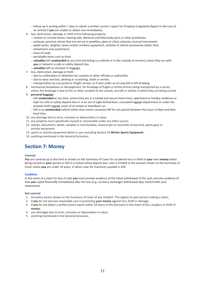- -- follow up in writing within 7 days to obtain a written carrier's report (or Property Irregularity Report in the case of an airline) if **you** are unable to obtain one immediately.
- 6. loss, destruction, damage or theft of the following property:
	- -- contact or corneal lenses, hearing aids, dentures and false body parts or other prostheses.
	- -- antiques, precious stones that are not set in jewellery, glass or china, pictures, musical instruments.
	- -- pedal cycles, dinghies, boats and/or ancillary equipment, vehicles or vehicle accessories (other than
	- wheelchairs and pushchairs).
	- -- tools of trade.
	- -- perishable items such as food.
	- -- **valuables** left **unattended** at any time (including in a vehicle or in the custody of carriers) unless they are with **you** or locked in a safe or safety deposit box.
	- -- **valuables** left as checked–in baggage.
- 7. loss, destruction, damage or theft:
	- -- due to confiscation or detention by customs or other officials or authorities.
	- -- due to wear and tear, denting or scratching, moth or vermin.
- -- transportation by any postal or freight service, or if sent under an air-way bill or bill of lading.
- 8. mechanical breakdown or derangement, for breakage of fragile or brittle articles being transported by a carrier, unless the breakage is due to fire or other accident to the vessels, aircraft or vehicle in which they are being carried.
- 9. **personal baggage**:
	- -- left **unattended** at any time, unless they are in a locked and secure hotel room, apartment or holiday residence or kept ina safe or safety deposit box or in an out of sight locked boot, concealed luggage department or under the purpose built luggage cover of an estate or hatchback car.
	- -- left in an **unattended** vehicle (other than motor caravans) left for any period between the hours of 9pm and 9am local time.
- 10. any shortage due to error, omission or depreciation in value.
- 11. any property more specifically insured or recoverable under any other source;
- 12. stamps, documents, deeds, samples or merchandise, manuscripts or securities of any kind, sports gear or activity equipment.
- 13. sports or activity equipment whilst in use; excluding Section 16 **Winter Sports Equipment**.
- 14. anything mentioned in the General Exclusions.

# **Section 7: Money**

# **Covered**

**You** are covered up to the limit as shown on the Summary of Cover for accidental loss or theft of **your** own **money** whilst being carried on **your** person or left in a locked safety deposit box. Cash is limited to the amount shown on the Summary of Cover unless **you** are under 16 years, in which case the maximum payable is £50.

#### **Condition**

In the event of a claim for loss of cash **you** must provide evidence of the initial withdrawal of the cash and also evidence of how **you** coped financially immediately after the loss (e.g. currency exchange/ withdrawal slips, bank/credit card statements).

## **Not covered**

- 1. the policy excess shown on the Summary of Cover of any incident. This applies to each person making a claim;
- 2. if **you** do not exercise reasonable care in protecting **your money** against loss, theft or damage;
- 3. if **you** do not obtain a written police report within 24 hours of the discovery in the event of loss, burglary or theft of **money**;
- 4. any shortages due to error, omission or depreciation in value;
- 5. anything mentioned in the General Exclusions.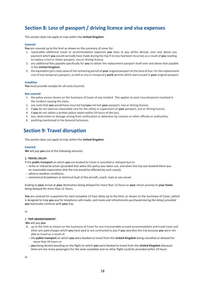# <span id="page-17-0"></span>**Section 8: Loss of passport / driving licence and visa expenses**

This section does not apply to trips within the **United Kingdom**.

# **Covered**

**You** are covered up to the limit as shown on the summary of cover for:

- 1. reasonable additional travel or accommodation expenses **you** have to pay whilst abroad, over and above any payment which **you** would normally have made during the trip if no loss had been incurred, as a result of **you** needing to replace a lost or stolen passport, visa or driving licence.
- 2. any additional fees payable specifically for **you** to obtain the replacement passport itself over and above that payable in the **United Kingdom**.
- 3. the equivalent (pro-rata) value of the remaining period of **your** original passport at the time of loss. For the replacement cost of any temporary passport, as well as visa or temporary **work** permits which were issued in **your** original passport.

## **Condition**

**You** must provide receipts for all costs incurred.

## **Not covered**

- 1. the policy excess shown on the Summary of Cover of any incident. This applies to each insured person involved in the incident causing the claim;
- 2. any costs that **you** would have incurred had **you** not lost **your** passport, visa or driving licence;
- 3. if **you** do not exercise reasonable care for the safety or supervision of **your** passport, visa or driving licence;
- 4. if **you** do not obtain a written police report within 24 hours of the loss;
- 5. loss, destruction or damage arising from confiscation or detention by customs or other officials or authorities;
- 6. anything mentioned in the General Exclusions

# <span id="page-17-1"></span>**Section 9: Travel disruption**

This section does not apply to trips within the **United Kingdom**.

#### **Covered**

**We** will pay **you** one of the following amounts:

#### **1. TRAVEL DELAY**:

If the **public transport** on which **you** are booked to travel is cancelled or delayed due to:

- -- strike or industrial action (provided that when this policy was taken out, and when the trip was booked there was no reasonable expectation that the trip would be affected by such cause);
- -- adverse weather conditions;
- -- mechanical breakdown or technical fault of the aircraft, coach, train or sea vessel;

leading to **your** arrival at **your** destination being delayed for more than 12 hours or **your** return journey to **your home**  being delayed for more than 12 hours.

**You** are covered for a payment for each complete 12 hour delay up to the limit, as shown on the Summary of Cover, (which is designed to help **you** pay for telephone calls made, and meals and refreshments purchased during the delay) provided **you** eventually continue with **your** trip.

or

# 2. **TRIP ABANDONMENT**:

**We** will pay **you**:

- A. up to the limit as shown on the Summary of Cover for any irrecoverable unused accommodation and travel costs and other pre-paid charges which **you** have paid or are contracted to pay if **you** abandon the trip because **you** were not able to travel as a result of:
	- -- the **public transport** on which **you** were booked to travel from the **United Kingdom** being cancelled or delayed for more than 24 hours or
	- -- **you** being denied boarding on the flight on which **you** were booked to travel from the **United Kingdom** (because there are too many passengers for the seats available) and no other flight could be provided within 24 hours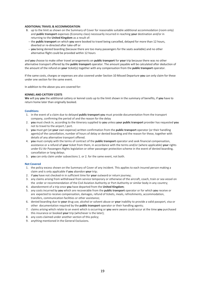# **ADDITIONAL TRAVEL & ACCOMMODATION**:

- B. up to the limit as shown on the Summary of Cover for reasonable suitable additional accommodation (room only) and **public transport** expenses (Economy class) necessarily incurred in reaching **your** destination and/or in returning to the **United Kingdom** as a result of:
- -- the **public transport** on which **you** were booked to travel being cancelled, delayed for more than 12 hours, diverted or re-directed after take-off or
- -- **you** being denied boarding (because there are too many passengers for the seats available) and no other alternative flight could be provided within 12 hours

and **you** choose to make other travel arrangements on **public transport** for **your** trip because there was no other alternative transport offered by the **public transport** operator. The amount payable will be calculated after deduction of the amount of the refund on **your** ticket(s) together with any compensation from the **public transport** operator.

If the same costs, charges or expenses are also covered under Section 10 Missed Departure **you** can only claim for these under one section for the same event.

In addition to the above you are covered for:

## **KENNEL AND CATTERY COSTS**

**We** will pay **you** the additional cattery or kennel costs up to the limit shown in the summary of benefits, if **you** have to return home later than originally booked.

## **Conditions**

- 1. in the event of a claim due to delayed **public transport you** must provide documentation from the transport company, confirming the period of and the reason for the delay
- 2. **you** must check in, according to the itinerary supplied to **you** unless **your public transport** provider has requested **you** not to travel to the airport / port.
- 3. **you** must get (at **your** own expense) written confirmation from the **public transport** operator (or their handling agents) of the cancellation, number of hours of delay or denied boarding and the reason for these, together with details of any alternative transport offered.
- 4. **you** must comply with the terms of contract of the **public transport** operator and seek financial compensation, assistance or a refund of **your** ticket from them, in accordance with the terms and/or (where applicable) **your** rights under EU Air Passengers Rights legislation or other passenger protection scheme in the event of denied boarding, cancellation or long delays.
- 5. **you** can only claim under subsections 1. or 2. for the same event, not both.

#### **Not Covered**

- 1. the policy excess shown on the Summary of Cover of any incident. This applies to each insured person making a claim and is only applicable if **you** abandon **your** trip;
- 2. if **you** have not checked-in in sufficient time for **your** outward or return journey;
- 3. any claims arising from withdrawal from service temporary or otherwise of the aircraft, coach, train or sea vessel on the order or recommendation of the Civil Aviation Authority or Port Authority or similar body in any country;
- 4. abandonment of a trip once **you** have departed from the **United Kingdom**;
- 5. any costs incurred by **you** which are recoverable from the **public transport** operator or for which **you** receive or are expected to receive compensation, damages, refund of tickets, meals, refreshments, accommodation, transfers, communication facilities or other assistance;
- 6. denied boarding due to **your** drug use, alcohol or solvent abuse or **your** inability to provide a valid passport, visa or other documentation required by the **public transport** operator or their handling agents;
- 7. claims arising which relate to an event which is occurring or **you** were aware could occur at the time **you** purchased this insurance or booked **your** trip (whichever is the later);
- 8. any costs claimed under another section of this policy;
- 9. anything mentioned in the General Exclusions.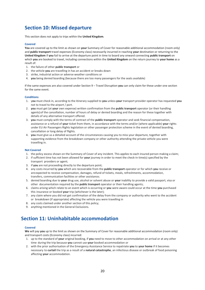# <span id="page-19-0"></span>**Section 10: Missed departure**

This section does not apply to trips within the **United Kingdom**.

# **Covered**

**You** are covered up to the limit as shown on **your** Summary of Cover for reasonable additional accommodation (room only) and **public transport** travel expenses (Economy class) necessarily incurred in reaching **your** destination or returning to the **United Kingdom** if **you** fail to arrive at the departure point in time to board any onward connecting **public transport** on which **you** are booked to travel, including connections within the **United Kingdom** on the return journey to **your home** as a result of:

- 1. the failure of other **public transport** or
- 2. the vehicle **you** are travelling in has an accident or breaks down
- 3. strike, industrial action or adverse weather conditions or
- 4. **you** being denied boarding (because there are too many passengers for the seats available)

If the same expenses are also covered under Section 9 – Travel Disruption **you** can only claim for these under one section for the same event.

# **Conditions**

- 1. y**ou** must check in, according to the itinerary supplied to **you** unless **your** transport provider operator has requested **you** not to travel to the airport / port.
- 2. **you** must get (at **your** own expense) written confirmation from the **public transport** operator (or their handling agents) of the cancellation, number of hours of delay or denied boarding and the reason for these together with details of any alternative transport offered.
- 3. **you** must comply with the terms of contract of the **public transport** operator and seek financial compensation, assistance or a refund of **your** ticket from them, in accordance with the terms and/or (where applicable) **your** rights under EU Air Passengers Rights legislation or other passenger protection scheme in the event of denied boarding, cancellation or long delay of flights.
- 4. **you** must give us a detailed account of the circumstances causing you to miss your departure, together with supporting evidence from the breakdown company or other authority attending the private vehicle you were travelling in.

## **Not Covered**

- 1. the policy excess shown on the Summary of Cover of any incident. This applies to each insured person making a claim;
- 2. if sufficient time has not been allowed for **your** journey in order to meet the check-in time(s) specified by the transport providers or agent;
- 3. if **you** are not proceeding directly to the departure point;
- 4. any costs incurred by **you** which are recoverable from the **public transport** operator or for which **you** receive or are expected to receive compensation, damages, refund of tickets, meals, refreshments, accommodation, transfers, communication facilities or other assistance;
- 5. denied boarding due to **your** drug use, alcohol or solvent abuse or **your** inability to provide a valid passport, visa or other documentation required by the **public transport** operator or their handling agents;
- 6. claims arising which relate to an event which is occurring or **you** were aware could occur at the time **you** purchased this insurance or booked **your** trip (whichever is the later);
- 7. any claim where you did not get confirmation of the delay from the company or authority who went to the accident or breakdown (if appropriate) affecting the vehicle you were travelling in
- 8. any costs claimed under another section of this policy;
- 9. anything mentioned in the General Exclusions.

# <span id="page-19-1"></span>**Section 11: Uninhabitable accommodation**

#### **Covered**

**We** will pay **you** up to the limit as shown on the Summary of Cover for reasonable additional accommodation (room only) and transport costs (Economy class) incurred:

- 1. up to the standard of **your** original booking, if **you** need to move to other accommodation on arrival or at any other time during the trip because **you** cannot use **your** booked accommodation or
- 2. with the prior authorisation of the Emergency Assistance Service to repatriate **you** to **your home** if it becomes necessary to **curtail** the trip as a result of a **natural catastrophe**, an infectious disease or outbreak of food poisoning affecting **your** accommodation.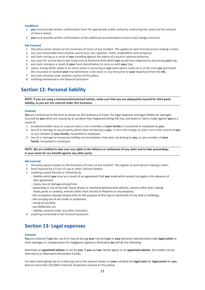## **Conditions**

- 1. **you** must provide written confirmation from the appropriate public authority confirming the cause and the amount of time it lasted.
- 2. **you** must provide written confirmation of the additional accommodation (room only) charges incurred.

## **Not Covered**

- 1. the policy excess shown on the Summary of Cover of any incident. This applies to each insured person making a claim;
- 2. any cost recoverable from another source (e.g. tour operator, hotel, credit/debit card company);
- 3. any claim arising as a result of **you** travelling against the advice of a local or national authority;
- 4. any costs for normal day to day living such as food and drink which **you** would have expected to pay during **your** trip;
- 5. any claim arising as a result of **your** mere disinclination to carry on with **your** trip;
- 6. claims arising which relate to an event which is occurring or **you** were aware could occur at the time **you** purchased this insurance or booked **your** trip (whichever is the later) or any time prior to **your** departure from the **UK;**
- 7. any costs claimed under another section of this policy;
- 8. anything mentioned in the General Exclusions.

# <span id="page-20-0"></span>**Section 12: Personal liability**

**NOTE: If you are using a mechanical/motorised vehicle, make sure that you are adequately insured for third party liability, as you are not covered under this insurance.**

#### **Covered**

You are covered up to the limit as shown on the Summary of Cover, for legal expenses and legal liability for damages incurred by **you** which are caused by an accident that happened during the trip, and leads to claims made against **you** as a result of:

- 1. accidental bodily injury to a person who is not a member of **your family** or household or employed by **you**;
- 2. loss of or damage to any property which does not belong to **you**, is not in the charge of, and is not in the control of **you** or any member of **your family**, household or employee;
- 3. loss of or damage to temporary holiday accommodation that does not belong to **you**, or any member of **your family**, household or employee.

**NOTE: We are entitled to take over any rights in the defence or settlement of any claim and to take proceedings in your name for our benefit against any other party.**

#### **Not covered**

- 1. the policy excess shown on the Summary of Cover of any incident. This applies to each person making a claim;
- 2. fines imposed by a Court of Law or other relevant bodies;
- 3. anything caused directly or indirectly by:
	- -- liability which **you** incur as a result of an agreement that **you** made which would not apply in the absence of that agreement;
	- -- injury, loss or damage arising from:
	- --ownership or use of aircraft, horse-drawn or mechanical/motorised vehicles, vessels (other than rowing boats,punts or canoes), animals (other than horses) or firearms or any weapons;
	- --the occupation (except temporarily for the purpose of the trip) or ownership of any land or buildings;
	- --the carrying out of any trade or profession;
	- --racing of any kind;
	- --any deliberate act;
	- -- liability covered under any other insurance.
- 4. anything mentioned in the General Exclusions.

# <span id="page-20-1"></span>**Section 13: Legal expenses**

#### **Covered**

**You** are covered if **you** die, are ill or injured during **your** trip and **you** or **your** personal representative take **legal action** to claim damages or compensation for negligence against a third party **we** will do the following:

Nominate an **appointed adviser** to act for **you**. If **you** and **we** cannot agree on an **appointed adviser**, the matter can be referred to an Alternative Resolution Facility.

For each event giving rise to a claim pay up to the amount shown on **your** schedule for **legal costs** for **legal action** for **you** (but no more than £25,000 in total for all persons insured on the policy).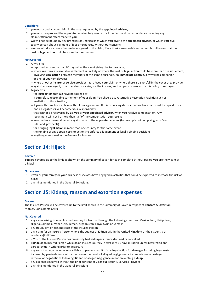# **Conditions**

- 1. **you** must conduct your claim in the way requested by the **appointed adviser;**
- 2. **you** must keep **us** and the **appointed adviser** fully aware of all the facts and correspondence including any claim settlement offers made to **you**;
- 3. **we** will not be bound by any promises or undertakings which **you** give to the **appointed adviser**, or which **you** give to any person about payment of fees or expenses, without **our** consent;
- 4. **we** can withdraw cover after **we** have agreed to the claim, if **we** think a reasonable settlement is unlikely or that the cost of **legal action** could be more than settlement.

## **Not Covered**

- 1. Any claim:
	- -- reported to **us** more than 60 days after the event giving rise to the claim;
	- -- where **we** think a reasonable settlement is unlikely or where the cost of **legal action** could be more than the settlement;
	- -- involving **legal action** between members of the same household, an **immediate relative**, a travelling companion or one of **your** employees;
	- -- where another **insurer** or service provider has refused **your** claim or where there is a shortfall in the cover they provide;
	- -- against a travel agent, tour operator or carrier, **us**, the **insurer**, another person insured by this policy or **our** agent.
- **2. Legal costs**:
	- -- for **legal action** that **we** have not agreed to;
	- -- if **you** refuse reasonable settlement of **your** claim. **You** should use Alternative Resolution Facilities such as mediation in this situation;
	- -- if **you** withdraw from a claim without **our** agreement. If this occurs **legal costs** that **we** have paid must be repaid to **us** and all **legal costs** will become **your** responsibility;
	- -- that cannot be recovered by **us**, **you** or **your appointed adviser**, when **you** receive compensation. Any repayment will not be more than half of the compensation **you** receive;
	- -- awarded as a personal penalty against **you** or the **appointed adviser** (for example not complying with Court rules and protocols);
	- -- for bringing **legal action** in more than one country for the same event;
	- -- the funding of any appeal costs or actions to enforce a judgement or legally binding decision;
	- -- anything mentioned in the General Exclusions.

# <span id="page-21-0"></span>**Section 14: Hijack**

#### **Covered**

**You** are covered up to the limit as shown on the summary of cover, for each complete 24 hour period **you** are the victim of a **hijack**.

#### **Not covered**

- 1. if **you** or **your family** or **your** business associates have engaged in activities that could be expected to increase the risk of **hijack**;
- 2. anything mentioned in the General Exclusions.

# <span id="page-21-1"></span>**Section 15: Kidnap, ransom and extortion expenses**

#### **Covered**

The Insured Person will be covered up to the limit shown in the Summary of Cover in respect of **Ransom** & **Extortion** Monies, Consultants Costs.

# **Not Covered**

- 1. any claim arising from an Insured Journey to, from or through the following countries: Mexico, Iraq, Philippines, Nigeria,Colombia, Venezuela, Yemen, Afghanistan, Libya, Syria or Somalia
- 2. any fraudulent or dishonest act of the Insured Person
- 3. any claim for an Insured Person who is the subject of **Kidnap** within the **United Kingdom** or their Country of residence(if different)
- 4. if **You** or the Insured Person has previously had **Kidnap** insurance declined or cancelled
- **5. kidnap** of an Insured Person while on an Insured Journey in excess of 60 days duration unless referred to and agreed by **us** in writing prior to departure
- 6. any sums that **you** become legally liable to pay as a result of any **legal action** for damages including **legal costs** incurred by **you** in defence of such action as the result of alleged negligence or incompetence in hostage retrieval or negotiations following **Kidnap** or alleged negligence in not preventing **Kidnap**
- 7. any expenses incurred without the prior consent of **us** or **our** Security Services Provider
- 8. anything mentioned in the General Exclusions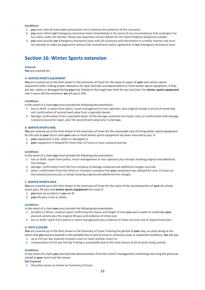#### **Conditions**

- 1. **you** must take all reasonable precautions not to disclose the existence of this insurance
- 2. **you** must inform **our** Emergency Assistance team immediately in the event of any circumstances that could give rise to a claim under this Section. Please see important contact details for the Claims Helpline telephone number.
- 3. **you** must provide **our** Emergency Assistance team with all assistance and information in a timely manner and must not attempt to make arrangements without the involvement and/or agreement of **our** Emergency Assistance team

# <span id="page-22-0"></span>**Section 16: Winter Sports extension**

#### **Covered**

**You** are covered for:

## **A. WINTER SPORTS EQUIPMENT**

**You** are covered up to the limit shown in the Summary of Cover for the value or repair of **your** own winter sports equipment (after making proper allowance for wear and tear and depreciation) or hired winter sports equipment, if they are lost, stolen or damaged during **your** trip, limited to the single item limit for any one item. For **winter sports equipment** over 5 years old the maximum **we** will pay is £50.

#### **Conditions**

In the event of a claim **you** must provide the following documentation:

- 1. loss or theft: a report from police, resort management or tour operator; plus original receipt or proof of ownership and confirmation of second hand value from a specialist dealer.
- 2. damage: confirmation from a specialist dealer of the damage sustained and repair costs, or confirmation that damage is beyond economic repair, plus the second hand value prior to damage.

#### **B. WINTER SPORTS HIRE**

**You** are covered up to the limit shown in the Summary of Cover for the reasonable cost of hiring winter sports equipment for the rest of **your** trip or until **your** own or hired winter sports equipment has been returned to you, if:

- 1. **your** equipment is lost, stolen or damaged; or
- 2. **your** equipment is delayed for more than 12 hours on your outward journey.

#### **Conditions**

In the event of a claim **you** must provide the following documentation:

- 1. loss or theft: report from police, resort management or tour operator plus receipts showing original and additional hire charges.
- 2. damage: confirmation from the hire company of damage sustained and additional charges incurred.
- 3. delay: confirmation from the airline or transport company that **your** equipment was delayed for over 12 hours on the outward journey plus a receipt showing original and additional hire charges.

#### **C. WINTER SPORTS PACK**

**You** are covered up to the limit shown in the Summary of Cover for the value of the unused portion of **your** ski school, resort pass, lift pass and **winter sports equipment** hire costs if:

- 1. **you** have an accident or **you** are ill;
- 2. **your** lift pass is lost or stolen.

#### **Conditions**

In the event of a claim **you** must provide the following documentation:

- 1. accident or illness: medical report confirming the reason and length of time **you** were unable to undertake **your**  planned activity plus the original lift pass and evidence of initial cost.
- 2. loss or theft: report from police or resort management plus evidence of initial cost and cost of replacement pass.

#### **D. PISTE CLOSURE**

**You** are covered up to the limit shown in the Summary of Cover if during the period of **your** stay, on-piste skiing at the resort that **you** had pre-booked is not available due to lack of snow or excessive snow or avalanche conditions, **we** will pay:

- 1. up to £15 per day towards transport costs to reach another resort or;
- 2. compensation of £25 per full day if skiing is unavailable due to the total closure of all on-piste skiing activity.

# **Conditions**

In the event of a claim **you** must provide documentation from the resort's management confirming how long the piste was closed at **your** resort and the reason.

#### **Not Covered**

1. the policy excess as shown on Summary of Cover;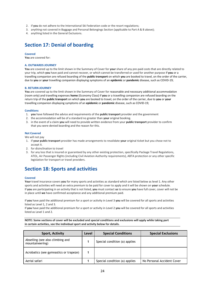- 2. if **you** do not adhere to the International Ski Federation code or the resort regulations;
- 3. anything not covered in Baggage and Personal Belongings Section (applicable to Part A & B above);
- 4. anything listed in the General Exclusions.

# <span id="page-23-0"></span>**Section 17: Denial of boarding**

## **Covered**

**You** are covered for:

# **A. OUTWARDS JOURNEY**

**You** are covered up to the limit shown in the Summary of Cover for **your** share of any pre-paid costs that are directly related to your trip, which **you** have paid and cannot recover, or which cannot be transferred or used for another purpose if **you** or a travelling companion are refused boarding of the **public transport** on which **you** are booked to travel, on the order of the carrier, due to **you** or **your** travelling companion displaying symptoms of an **epidemic** or **pandemic** disease, such as COVID-19;

# **B. RETURN JOURNEY**

**You** are covered up to the limit shown in the Summary of Cover for reasonable and necessary additional accommodation (room only) and travelling expenses **home** (Economy Class) if **you** or a travelling companion are refused boarding on the return trip of the **public transport** on which **you** are booked to travel, on the order of the carrier, due to **you** or **your** travelling companion displaying symptoms of an **epidemic** or **pandemic** disease, such as COVID-19;

## **Conditions**

- 1. **you** have followed the advice and requirements of the **public transport** provider and the government
- 2. the accommodation will be of a standard no greater than **your** original booking.
- 3. in the event of a claim **you** will need to provide written evidence from your **public transport** provider to confirm that you were denied boarding and the reason for this.

## **Not Covered**

We will not pay

- 1. if **your public transport** provider has made arrangements to revalidate **your** original ticket but you chose not to accept it.
- 2. for disinclination to travel
- 3. for any loss that is insured or guaranteed by any other existing protection, specifically Package Travel Regulations, ATOL, Air Passenger Rights (including Civil Aviation Authority requirements), ABTA protection or any other specific legislation for transport or travel providers.

# **Section 18: Sports and activities**

# **Covered**

**Your** travel insurance covers **you** for many sports and activities as standard which are listed below as level 1. Any other sports and activities will need an extra premium to be paid for cover to apply and it will be shown on **your** schedule. If **you** are participating in an activity that is not listed, **you** must contact **us** to ensure **you** have full cover, cover will not be in place until **we** have confirmed acceptance and any additional premium paid.

If **you** have paid the additional premium for a sport or activity in Level 3 **you** will be covered for all sports and activities listed as Level 1, 2 and 3.

If **you** have paid the additional premium for a sport or activity in Level 2 **you** will be covered for all sports and activities listed as Level 1 and 2.

**NOTE: Some sections of cover will be excluded and special conditions and exclusions will apply while taking part in certain activities, see the individual sport and activity below for details.**

| <b>Sport, Activity</b>                              | Level | <b>Special Conditions</b>     | <b>Special Exclusions</b>  |
|-----------------------------------------------------|-------|-------------------------------|----------------------------|
| Abseiling (see also climbing and<br>mountaineering) |       | Special condition (a) applies |                            |
| Acrobatics (see gymnastics or trapeze)              |       |                               |                            |
| Aerial safari                                       |       | Special condition (a) applies | No Personal Accident Cover |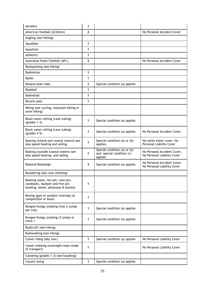| Aerobics                                                                                                   | 1              |                                                                      |                                                            |
|------------------------------------------------------------------------------------------------------------|----------------|----------------------------------------------------------------------|------------------------------------------------------------|
| American football (Gridiron)                                                                               | $\mathbf{2}$   |                                                                      | No Personal Accident Cover                                 |
| Angling (see fishing)                                                                                      |                |                                                                      |                                                            |
| Aquabike                                                                                                   | 1              |                                                                      |                                                            |
| Aquathon                                                                                                   | 1              |                                                                      |                                                            |
| Athletics                                                                                                  | 1              |                                                                      |                                                            |
| Australian Rules Football (AFL)                                                                            | $\overline{2}$ |                                                                      | No Personal Accident Cover                                 |
| Backpacking (see hiking)                                                                                   |                |                                                                      |                                                            |
| Badminton                                                                                                  | 1              |                                                                      |                                                            |
| <b>Ballet</b>                                                                                              | 1              |                                                                      |                                                            |
| Banana boat rides                                                                                          | 1              | Special condition (a) applies                                        |                                                            |
| Baseball                                                                                                   | 1              |                                                                      |                                                            |
| <b>Basketball</b>                                                                                          | 1              |                                                                      |                                                            |
| Bicycle polo                                                                                               | 1              |                                                                      |                                                            |
| Biking (see cycling, mountain biking or<br>snow biking)                                                    |                |                                                                      |                                                            |
| Black water rafting (cave tubing)<br>$\left($ grades 1-3)                                                  | 1              | Special condition (a) applies                                        |                                                            |
| Black water rafting (cave tubing)<br>$\left($ grades 4-5)                                                  | 1              | Special condition (a) applies                                        | No Personal Accident Cover                                 |
| Boating (inland and coastal waters) see<br>also speed boating and sailing.                                 | 1              | Special condition (a) or (b)<br>applies,                             | No white water cover. No<br>Personal Liability Cover       |
| Boating (outside coastal waters) see<br>also speed boating, and sailing                                    | 1              | Special condition (a) or (b)<br>and special condition (c)<br>applies | No Personal Accident Cover,<br>No Personal Liability Cover |
| Bobsled/Bobsleigh                                                                                          | 3              | Special condition (a) applies                                        | No Personal Accident Cover,<br>No Personal Liability Cover |
| Bouldering (see rock climbing)                                                                             |                |                                                                      |                                                            |
| Bowling (lawn, ten-pin, nine-pin,<br>candlepin, duckpin and five-pin<br>bowling, bowls, pétanque & boules) | 1              |                                                                      |                                                            |
| Boxing (gym or outdoor training) no<br>competition or bouts                                                | 1              |                                                                      |                                                            |
| Bungee/bungy jumping (max 2 jumps<br>per trip)                                                             | 1              | Special condition (a) applies                                        |                                                            |
| Bungee/bungy jumping (3 jumps or<br>more)                                                                  | 1              | Special condition (a) applies                                        |                                                            |
| Bushcraft (see hiking)                                                                                     |                |                                                                      |                                                            |
| Bushwalking (see hiking)                                                                                   |                |                                                                      |                                                            |
| Camel riding (day tour)                                                                                    | 1              | Special condition (a) applies                                        | No Personal Liability Cover                                |
| Camel trekking (overnight/main mode<br>of transport)                                                       | 1              |                                                                      | No Personal Liability Cover                                |
| Canoeing (grades 1-3) (see kayaking)                                                                       |                |                                                                      |                                                            |
| Canyon swing                                                                                               | 1              | Special condition (a) applies                                        |                                                            |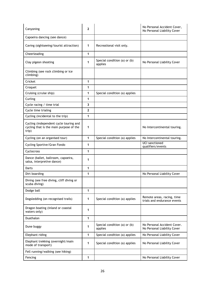| Canyoning                                                                                  | $\mathbf{2}$ |                                         | No Personal Accident Cover,<br>No Personal Liability Cover |
|--------------------------------------------------------------------------------------------|--------------|-----------------------------------------|------------------------------------------------------------|
| Capoeira dancing (see dance)                                                               |              |                                         |                                                            |
| Caving (sightseeing/tourist attraction)                                                    | 1            | Recreational visit only.                |                                                            |
| Cheerleading                                                                               | 1            |                                         |                                                            |
| Clay pigeon shooting                                                                       | 1            | Special condition (a) or (b)<br>applies | No Personal Liability Cover                                |
| Climbing (see rock climbing or ice<br>climbing)                                            |              |                                         |                                                            |
| Cricket                                                                                    | 1            |                                         |                                                            |
| Croquet                                                                                    | 1            |                                         |                                                            |
| Cruising (cruise ship)                                                                     | 1            | Special condition (a) applies           |                                                            |
| Curling                                                                                    | 1            |                                         |                                                            |
| Cycle racing / time trial                                                                  | 3            |                                         |                                                            |
| Cycle time trialing                                                                        | $\mathbf{2}$ |                                         |                                                            |
| Cycling (incidental to the trip)                                                           | 1            |                                         |                                                            |
| Cycling (independent cycle touring and<br>cycling that is the main purpose of the<br>trip) | 1            |                                         | No Intercontinental touring.                               |
| Cycling (on an organised tour)                                                             | 1            | Special condition (a) applies           | No Intercontinental touring.                               |
| Cycling Sportive/Gran Fondo                                                                | 1            |                                         | <b>UCI</b> sanctioned<br>qualifiers/events                 |
| Cyclocross                                                                                 | 1            |                                         |                                                            |
| Dance (ballet, ballroom, capoeira,<br>salsa, interpretive dance)                           | 1            |                                         |                                                            |
| Darts                                                                                      | 1            |                                         |                                                            |
| Dirt boarding                                                                              | 1            |                                         | No Personal Liability Cover                                |
| Diving (see free diving, cliff diving or<br>scuba diving)                                  |              |                                         |                                                            |
| Dodge ball                                                                                 | 1            |                                         |                                                            |
| Dogsledding (on recognised trails)                                                         | 1            | Special condition (a) applies           | Remote areas, racing, time<br>trials and endurance events  |
| Dragon boating (inland or coastal<br>waters only)                                          | 1            |                                         |                                                            |
| Duathalon                                                                                  | 1            |                                         |                                                            |
| Dune buggy                                                                                 | 1            | Special condition (a) or (b)<br>applies | No Personal Accident Cover.<br>No Personal Liability Cover |
| Elephant riding                                                                            | 1            | Special condition (a) applies           | No Personal Liability Cover                                |
| Elephant trekking (overnight/main<br>mode of transport)                                    | 1            | Special condition (a) applies           | No Personal Liability Cover                                |
| Fell running/walking (see hiking)                                                          |              |                                         |                                                            |
| Fencing                                                                                    | 1            |                                         | No Personal Liability Cover                                |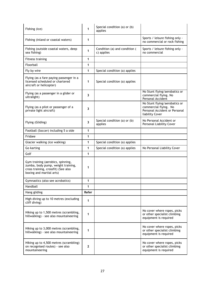| Fishing (ice)                                                                                                                              | 1            | Special condition (a) or (b)<br>applies     |                                                                                                            |
|--------------------------------------------------------------------------------------------------------------------------------------------|--------------|---------------------------------------------|------------------------------------------------------------------------------------------------------------|
| Fishing (inland or coastal waters)                                                                                                         | 1            |                                             | Sports / leisure fishing only -<br>no commercial or rock fishing                                           |
| Fishing (outside coastal waters, deep<br>sea fishing)                                                                                      | 1            | Condition (a) and condition (<br>c) applies | Sports / leisure fishing only -<br>no commercial                                                           |
| <b>Fitness training</b>                                                                                                                    | 1            |                                             |                                                                                                            |
| Floorball                                                                                                                                  | 1            |                                             |                                                                                                            |
| Fly by wire                                                                                                                                | 1            | Special condition (a) applies               |                                                                                                            |
| Flying (as a fare paying passenger in a<br>licensed scheduled or chartered<br>aircraft or helicopter)                                      | 1            | Special condition (a) applies               |                                                                                                            |
| Flying (as a passenger in a glider or<br>ultralight)                                                                                       | 3            |                                             | No Stunt flying/aerobatics or<br>commercial flying. No<br>Personal Accident                                |
| Flying (as a pilot or passenger of a<br>private light aircraft)                                                                            | 3            |                                             | No Stunt flying/aerobatics or<br>commercial flying. No<br>Personal Accident or Personal<br>liability Cover |
| Flying (Gliding)                                                                                                                           | 3            | Special condition (a) or (b)<br>applies     | No Personal Accident or<br>Personal Liability Cover                                                        |
| Football (Soccer) including 5 a side                                                                                                       | 1            |                                             |                                                                                                            |
| Frisbee                                                                                                                                    | 1            |                                             |                                                                                                            |
| Glacier walking (ice walking)                                                                                                              | 1            | Special condition (a) applies               |                                                                                                            |
| Go karting                                                                                                                                 | 1            | Special condition (a) applies               | No Personal Liability Cover                                                                                |
| Golf                                                                                                                                       | 1            |                                             |                                                                                                            |
| Gym training (aerobics, spinning,<br>zumba, body pump, weight training,<br>cross training, crossfit) (See also<br>boxing and martial arts) | 1            |                                             |                                                                                                            |
| Gymnastics (also see acrobatics)                                                                                                           | 1            |                                             |                                                                                                            |
| Handball                                                                                                                                   | 1            |                                             |                                                                                                            |
| Hang gliding                                                                                                                               | Refer        |                                             |                                                                                                            |
| High diving up to 10 metres (excluding<br>cliff diving)                                                                                    | 1            |                                             |                                                                                                            |
| Hiking up to 1,500 metres (scrambling,<br>hillwalking) - see also mountaineering                                                           | 1            |                                             | No cover where ropes, picks<br>or other specialist climbing<br>equipment is required                       |
| Hiking up to 3,000 metres (scrambling,<br>hillwalking) - see also mountaineering                                                           | 1            |                                             | No cover where ropes, picks<br>or other specialist climbing<br>equipment is required                       |
| Hiking up to 4,500 metres (scrambling)<br>on recognised routes) - see also<br>mountaineering                                               | $\mathbf{2}$ |                                             | No cover where ropes, picks<br>or other specialist climbing<br>equipment is required                       |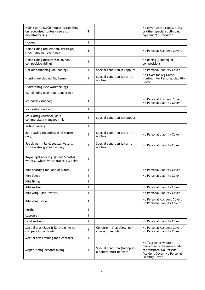| Hiking up to 6,000 metres (scrambling)<br>on recognised routes - see also<br>mountaineering | 3            |                                                         | No cover where ropes, picks<br>or other specialist climbing<br>equipment is required                                                      |
|---------------------------------------------------------------------------------------------|--------------|---------------------------------------------------------|-------------------------------------------------------------------------------------------------------------------------------------------|
| Hockey                                                                                      | 1            |                                                         |                                                                                                                                           |
| Horse riding (equestrian, dressage,<br>show jumping, eventing)                              | $\mathbf{2}$ |                                                         | No Personal Accident Cover.                                                                                                               |
| Horse riding (leisure/social/non-<br>competitive riding)                                    | 1            |                                                         | No Racing, jumping or<br>competitions.                                                                                                    |
| Hot air ballooning (ballooning)                                                             | 1            | Special condition (a) applies                           | No Personal Liability Cover                                                                                                               |
| Hunting (excluding Big Game)                                                                | 1            | Special condition (a) or (b)<br>applies.                | No Cover for Big Game<br>Hunting. No Personal Liability<br>Cover                                                                          |
| Hydrofoiling (see water skiing)                                                             |              |                                                         |                                                                                                                                           |
| Ice climbing (see mountaineering)                                                           |              |                                                         |                                                                                                                                           |
| Ice hockey (indoor)                                                                         | 3            |                                                         | No Personal Accident Cover,<br>No Personal Liability Cover                                                                                |
| Ice skating (indoor)                                                                        | 1            |                                                         |                                                                                                                                           |
| Ice skating (outdoor) on a<br>commercially managed rink                                     | 1            | Special condition (a) applies                           |                                                                                                                                           |
| In-line skating                                                                             | 1            |                                                         |                                                                                                                                           |
| Jet boating (inland/coastal waters<br>only)                                                 | 1            | Special condition (a) or (b)<br>applies                 | No Personal Liability Cover                                                                                                               |
| Jet skiing (inland/coastal waters,<br>white water grades 1-2 only)                          | 1            | Special condition (a) or (b)<br>applies                 | No Personal Liability Cover                                                                                                               |
| Kayaking/Canoeing (inland/coastal<br>waters, white water grades 1-3 only)                   | 1            |                                                         |                                                                                                                                           |
| Kite boarding (on land or water)                                                            | 1            |                                                         | No Personal Liability Cover                                                                                                               |
| Kite buggy                                                                                  | 1            |                                                         | No Personal Liability Cover                                                                                                               |
| Kite flying                                                                                 | 1            |                                                         |                                                                                                                                           |
| Kite surfing                                                                                | 1            |                                                         | No Personal Liability Cover                                                                                                               |
| Kite wing (land, water)                                                                     | 1            |                                                         | No Personal Liability Cover                                                                                                               |
| Kite wing (snow)                                                                            | 3            |                                                         | No Personal Accident Cover,<br>No Personal Liability Cover                                                                                |
| Korfball                                                                                    | 1            |                                                         |                                                                                                                                           |
| Lacrosse                                                                                    | 1            |                                                         |                                                                                                                                           |
| Land surfing                                                                                | 1            |                                                         | No Personal Liability Cover                                                                                                               |
| Martial arts (Judo & Karate only) no<br>competition or bouts                                | 1            | Condition (a) applies, non-<br>competitive only         | No Personal Accident Cover,<br>No Personal Liability Cover                                                                                |
| Martial arts training (non-contact)                                                         | 1            |                                                         |                                                                                                                                           |
| Moped riding/scooter biking                                                                 | 1            | Special condition (b) applies,<br>a helmet must be worn | No Touring or where a<br>motorbike is the main mode<br>of transport. No Personal<br>Accident Cover, No Personal<br><b>Liability Cover</b> |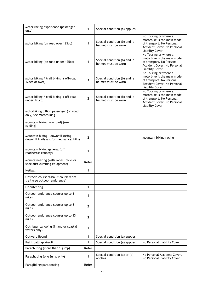| Motor racing experience (passenger<br>only)                                   | 1                       | Special condition (a) applies                      |                                                                                                                                           |
|-------------------------------------------------------------------------------|-------------------------|----------------------------------------------------|-------------------------------------------------------------------------------------------------------------------------------------------|
| Motor biking (on road over 125cc)                                             | 1                       | Special condition (b) and a<br>helmet must be worn | No Touring or where a<br>motorbike is the main mode<br>of transport. No Personal<br>Accident Cover, No Personal<br><b>Liability Cover</b> |
| Motor biking (on road under 125cc)                                            | 1                       | Special condition (b) and a<br>helmet must be worn | No Touring or where a<br>motorbike is the main mode<br>of transport. No Personal<br>Accident Cover, No Personal<br><b>Liability Cover</b> |
| Motor biking / trail biking ( off-road<br>125cc or over)                      | $\overline{\mathbf{3}}$ | Special condition (b) and a<br>helmet must be worn | No Touring or where a<br>motorbike is the main mode<br>of transport. No Personal<br>Accident Cover, No Personal<br><b>Liability Cover</b> |
| Motor biking / trail biking ( off-road<br>under 125cc)                        | $\overline{2}$          | Special condition (b) and a<br>helmet must be worn | No Touring or where a<br>motorbike is the main mode<br>of transport. No Personal<br>Accident Cover, No Personal<br><b>Liability Cover</b> |
| Motorbiking pillion passenger (on road<br>only) see Motorbiking               |                         |                                                    |                                                                                                                                           |
| Mountain biking (on road) (see<br>cycling)                                    |                         |                                                    |                                                                                                                                           |
| Mountain biking - downhill (using<br>downhill trails and/or mechanical lifts) | $\mathbf{2}$            |                                                    | Mountain biking racing                                                                                                                    |
| Mountain biking general (off<br>road/cross country)                           | 1                       |                                                    |                                                                                                                                           |
| Mountaineering (with ropes, picks or<br>specialist climbing equipment)        | Refer                   |                                                    |                                                                                                                                           |
| Netball                                                                       | 1                       |                                                    |                                                                                                                                           |
| Obstacle course/assault course/trim<br>trail (see outdoor endurance)          |                         |                                                    |                                                                                                                                           |
| Orienteering                                                                  | 1                       |                                                    |                                                                                                                                           |
| Outdoor endurance courses up to 3<br>miles                                    | 1                       |                                                    |                                                                                                                                           |
| Outdoor endurance courses up to 8<br>miles                                    | $\mathbf{2}$            |                                                    |                                                                                                                                           |
| Outdoor endurance courses up to 13<br>miles                                   | 3                       |                                                    |                                                                                                                                           |
| Outrigger canoeing (inland or coastal<br>waters only)                         | 1                       |                                                    |                                                                                                                                           |
| <b>Outward Bound</b>                                                          | 1                       | Special condition (a) applies                      |                                                                                                                                           |
| Paint balling/airsoft                                                         | 1                       | Special condition (a) applies                      | No Personal Liability Cover                                                                                                               |
| Parachuting (more than 1 jump)                                                | Refer                   |                                                    |                                                                                                                                           |
| Parachuting (one jump only)                                                   | 1                       | Special condition (a) or (b)<br>applies            | No Personal Accident Cover,<br>No Personal Liability Cover                                                                                |
| Paragliding/parapenting                                                       | Refer                   |                                                    |                                                                                                                                           |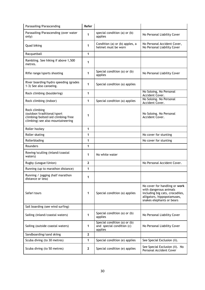| Parasailing/Parascending                                                                                              | Refer          |                                                                      |                                                                                                                                                        |
|-----------------------------------------------------------------------------------------------------------------------|----------------|----------------------------------------------------------------------|--------------------------------------------------------------------------------------------------------------------------------------------------------|
| Parasailing/Parascending (over water<br>only)                                                                         | 1              | special condition (a) or (b)<br>applies                              | No Personal Liability Cover                                                                                                                            |
| Quad biking                                                                                                           | 1              | Condition (a) or (b) apples, a<br>helmet must be worn                | No Personal Accident Cover,<br>No Personal Liability Cover                                                                                             |
| Racquetball                                                                                                           | 1              |                                                                      |                                                                                                                                                        |
| Rambling. See hiking if above 1,500<br>metres.                                                                        | 1              |                                                                      |                                                                                                                                                        |
| Rifle range/sports shooting                                                                                           | 1              | Special condition (a) or (b)<br>applies                              | No Personal Liability Cover                                                                                                                            |
| River boarding/hydro speeding (grades<br>1-3) See also canoeing.                                                      | 1              | Special condition (a) applies                                        |                                                                                                                                                        |
| Rock climbing (bouldering)                                                                                            | 1              |                                                                      | No Soloing, No Personal<br>Accident Cover.                                                                                                             |
| Rock climbing (indoor)                                                                                                | 1              | Special condition (a) applies                                        | No Soloing. No Personal<br>Accident Cover.                                                                                                             |
| Rock climbing<br>(outdoor/traditional/sport<br>climbing/bolted/aid climbing/free<br>climbing) see also mountaineering | 1              |                                                                      | No Soloing. No Personal<br>Accident Cover.                                                                                                             |
| Roller hockey                                                                                                         | 1              |                                                                      |                                                                                                                                                        |
| Roller skating                                                                                                        | 1              |                                                                      | No cover for stunting                                                                                                                                  |
| Rollerblading                                                                                                         | 1              |                                                                      | No cover for stunting                                                                                                                                  |
| Rounders                                                                                                              | 1              |                                                                      |                                                                                                                                                        |
| Rowing/sculling (inland/coastal<br>waters)                                                                            | 1              | No white water                                                       |                                                                                                                                                        |
| Rugby (League/Union)                                                                                                  | $\overline{2}$ |                                                                      | No Personal Accident Cover.                                                                                                                            |
| Running (up to marathon distance)                                                                                     | 1              |                                                                      |                                                                                                                                                        |
| Running / jogging (half marathon<br>distance or less)                                                                 | 1              |                                                                      |                                                                                                                                                        |
| Safari tours                                                                                                          | 1              | Special condition (a) applies                                        | No cover for handling or work<br>with dangerous animals<br>including big cats, crocodiles,<br>alligators, hippopotamuses,<br>snakes elephants or bears |
| Sail boarding (see wind surfing)                                                                                      |                |                                                                      |                                                                                                                                                        |
| Sailing (inland/coastal waters)                                                                                       | 1              | Special condition (a) or (b)<br>applies                              | No Personal Liability Cover                                                                                                                            |
| Sailing (outside coastal waters)                                                                                      | 1              | Special condition (a) or (b)<br>and special condition (c)<br>applies | No Personal Liability Cover                                                                                                                            |
| Sandboarding/sand skiing                                                                                              | $\mathbf{2}$   |                                                                      |                                                                                                                                                        |
| Scuba diving (to 30 metres)                                                                                           | 1              | Special condition (e) applies                                        | See Special Exclusion (ii).                                                                                                                            |
| Scuba diving (to 50 metres)                                                                                           | $\mathbf{2}$   | Special condition (e) applies                                        | See Special Exclusion (ii). No<br>Personal Accident Cover                                                                                              |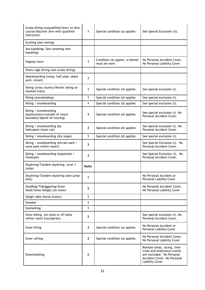| Scuba diving (unqualified/learn to dive<br>course/discover dive with qualified<br>instructor) | 1            | Special condition (a) applies                  | See Special Exclusion (ii).                                                                                                                     |
|-----------------------------------------------------------------------------------------------|--------------|------------------------------------------------|-------------------------------------------------------------------------------------------------------------------------------------------------|
| Sculling (see rowing)                                                                         |              |                                                |                                                                                                                                                 |
| Sea kayaking/ Sea canoeing (see<br>kayaking)                                                  |              |                                                |                                                                                                                                                 |
| Segway tours                                                                                  | 1            | Condition (a) apples, a helmet<br>must be worn | No Personal Accident Cover,<br>No Personal Liability Cover                                                                                      |
| Shark cage diving (see scuba diving)                                                          |              |                                                |                                                                                                                                                 |
| Skateboarding (ramp, half pipe, skate<br>park, street)                                        | 1            |                                                |                                                                                                                                                 |
| Skiing (cross country/Nordic skiing on<br>marked trails)                                      | 1            | Special condition (d) applies                  | See special exclusion (i).                                                                                                                      |
| Skiing (snowblading)                                                                          | 1            | Special condition (d) applies                  | See special exclusion (i).                                                                                                                      |
| Skiing / snowboarding                                                                         | 1            | Special condition (d) applies                  | See special exclusion (i).                                                                                                                      |
| Skiing / snowboarding<br>(backcountry/outside of resort<br>boundary/alpine ski touring)       | 3            | Special condition (d) applies                  | See special exclusion (i). No<br>Personal Accident Cover.                                                                                       |
| Skiing / snowboarding (by<br>helicopter/snow cat)                                             | 3            | Special condition (d) applies                  | See special exclusion (i). No<br>Personal Accident Cover.                                                                                       |
| Skiing / snowboarding (dry slope)                                                             | 1            | Special condition (d) applies                  | See special exclusion (i).                                                                                                                      |
| Skiing / snowboarding (terrain park /<br>snow park within resort)                             | 3            |                                                | See Special Exclusion (i). No<br>Personal Accident Cover.                                                                                       |
| Skiing / snowboarding (slopestyle /<br>freestyle)                                             | 3            |                                                | See Special Exclusion (i). No<br>Personal Accident Cover.                                                                                       |
| Skydiving/Tandem skydiving (over 1<br>jump)                                                   | Refer        |                                                |                                                                                                                                                 |
| Skydiving/Tandem skydiving (one jump<br>only)                                                 | 1            |                                                | No Personal Accident or<br>Personal Liability Cover                                                                                             |
| Sledding/Tobogganing/Snow<br>Sleds/Snow Sleighs (on snow)                                     | $\mathbf{2}$ |                                                | No Personal Accident Cover,<br>No Personal Liability Cover                                                                                      |
| Sleigh rides (horse drawn)                                                                    | 1            |                                                |                                                                                                                                                 |
| Snooker                                                                                       | 1            |                                                |                                                                                                                                                 |
| Snorkelling                                                                                   | 1            |                                                |                                                                                                                                                 |
| Snow biking (on piste or off piste<br>within resort boundaries)                               | $\mathbf{2}$ |                                                | See special exclusion (i). No<br>Personal Accident Cover.                                                                                       |
| Snow kiting                                                                                   | 3            | Special condition (a) applies                  | No Personal Accident or<br>Personal Liability Cover                                                                                             |
| Snow rafting                                                                                  | $\mathbf{2}$ | Special condition (a) applies                  | No Personal Accident Cover,<br>No Personal Liability Cover                                                                                      |
| Snowmobiling                                                                                  | $\mathbf{2}$ |                                                | Remote areas, racing, time<br>trials and endurance events<br>are excluded. No Personal<br>Accident Cover, No Personal<br><b>Liability Cover</b> |

 $\overline{a}$ 

 $\mathbf{r}$ 

 $\ddot{\phantom{a}}$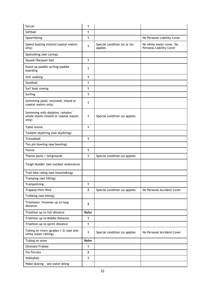| Soccer                                                                              | 1            |                                         |                                                      |
|-------------------------------------------------------------------------------------|--------------|-----------------------------------------|------------------------------------------------------|
| Softball                                                                            | 1            |                                         |                                                      |
| Spearfishing                                                                        | 1            |                                         | No Personal Liability Cover                          |
| Speed boating (inland/coastal waters<br>only)                                       | 1            | Special condition (a) or (b)<br>applies | No white water cover. No<br>Personal Liability Cover |
| Spelunking (see caving)                                                             |              |                                         |                                                      |
| Squash/Racquet ball                                                                 | 1            |                                         |                                                      |
| Stand up paddle surfing/paddle<br>boarding                                          | 1            |                                         |                                                      |
| Stilt walking                                                                       | 1            |                                         |                                                      |
| Stoolball                                                                           | 1            |                                         |                                                      |
| Surf boat rowing                                                                    | 1            |                                         |                                                      |
| Surfing                                                                             | 1            |                                         |                                                      |
| Swimming (pool; enclosed, inland or<br>coastal waters only)                         | 1            |                                         |                                                      |
| Swimming with dolphins / whales/<br>whale sharks (inland or coastal waters<br>only) | 1            | Special condition (a) applies           |                                                      |
| Table tennis                                                                        | 1            |                                         |                                                      |
| Tandem skydiving (see skydiving)                                                    |              |                                         |                                                      |
| Tchoukball                                                                          | 1            |                                         |                                                      |
| Ten pin bowling (see bowling)                                                       |              |                                         |                                                      |
| Tennis                                                                              | 1            |                                         |                                                      |
| Theme parks / fairgrounds                                                           | 1            | Special condition (a) applies           |                                                      |
| Tough Mudder (see outdoor endurance)                                                |              |                                         |                                                      |
| Trail bike riding (see motorbiking)                                                 |              |                                         |                                                      |
| Tramping (see hiking)                                                               |              |                                         |                                                      |
| Trampolining                                                                        | 1            |                                         |                                                      |
| Trapeze/Hire Wire                                                                   | $\mathbf{2}$ | Special condition (a) applies           | No Personal Accident Cover                           |
| Trekking (see hiking)                                                               |              |                                         |                                                      |
| Triathalon / Ironman up to long<br>distance                                         | $\mathbf{2}$ |                                         |                                                      |
| Triathlon up to full distance                                                       | Refer        |                                         |                                                      |
| Triathlon up to Middle Distance                                                     | 1            |                                         |                                                      |
| Triathlon up to sprint distance                                                     | 1            |                                         |                                                      |
| Tubing on rivers (grades 1-2) (see also<br>white water rafting)                     | 1            | Special condition (a) applies           | No Personal Accident Cover                           |
| Tubing on snow                                                                      | Refer        |                                         |                                                      |
| <b>Ultimate Frisbee</b>                                                             | 1            |                                         |                                                      |
| Via Ferrata                                                                         | $\mathbf{2}$ |                                         |                                                      |
| Volleyball                                                                          | 1            |                                         |                                                      |
| Wake skating - see water skiing                                                     |              |                                         |                                                      |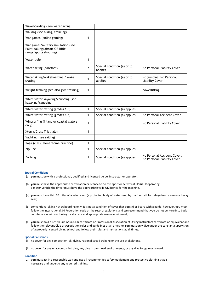| Wakeboarding - see water skiing                                                                |              |                                         |                                                            |
|------------------------------------------------------------------------------------------------|--------------|-----------------------------------------|------------------------------------------------------------|
| Walking (see hiking, trekking)                                                                 |              |                                         |                                                            |
| War games (online gaming)                                                                      | 1            |                                         |                                                            |
| War games/military simulation (see<br>Paint balling/airsoft OR Rifle<br>range/sports shooting) |              |                                         |                                                            |
| Water polo                                                                                     | 1            |                                         |                                                            |
| Water skiing (barefoot)                                                                        | $\mathbf{2}$ | Special condition (a) or (b)<br>applies | No Personal Liability Cover                                |
| Water skiing/wakeboarding / wake<br>skating                                                    | 1            | Special condition (a) or (b)<br>applies | No jumping, No Personal<br><b>Liability Cover</b>          |
| Weight training (see also gym training)                                                        | 1            |                                         | powerlifting                                               |
| White water kayaking/canoeing (see<br>kayaking/canoeing)                                       |              |                                         |                                                            |
| White water rafting (grades 1-3)                                                               | 1            | Special condition (a) applies           |                                                            |
| White water rafting (grades 4-5)                                                               | 1            | Special condition (a) applies           | No Personal Accident Cover                                 |
| Windsurfing (inland or coastal waters<br>only)                                                 | 1            |                                         | No Personal Liability Cover                                |
| Xterra/Cross Triathalon                                                                        | 1            |                                         |                                                            |
| Yachting (see sailing)                                                                         |              |                                         |                                                            |
| Yoga (class, alone/home practice)                                                              | 1            |                                         |                                                            |
| Zip line                                                                                       | 1            | Special condition (a) applies           |                                                            |
| Zorbing                                                                                        | 1            | Special condition (a) applies           | No Personal Accident Cover,<br>No Personal Liability Cover |

#### **Special Conditions**

- (a) **you** must be with a professional, qualified and licensed guide, instructor or operator.
- (b) **you** must have the appropriate certification or licence to do this sport or activity at **Home**. If operating a motor vehicle the driver must have the appropriate valid UK licence for the machine.
- (c) **you** must be within 60 miles of a safe haven (a protected body of water used by marine craft for refuge from storms or heavy seas).
- (d) conventional skiing / snowboarding only. It is not a condition of cover that **you** ski or board with a guide, however, **you** must follow the International Ski Federation code or the resort regulations and **we** recommend that **you** do not venture into back country areas without taking local advice and appropriate rescue equipment;
- (e) **you** must hold a British Sub Aqua Club certificate or Professional Association of Diving Instructors certificate or equivalent and follow the relevant Club or Association rules and guidelines at all times, or **You** must only dive under the constant supervision of a properly licensed diving school and follow their rules and instructions at all times.

#### **Special Exclusions**

- (i) no cover for any competition, ski-flying, national squad training or the use of skeletons.
- (ii) no cover for any unaccompanied dive, any dive in overhead environments, or any dive for gain or reward.

# **Condition**

1. **you** must act in a reasonable way and use all recommended safety equipment and protective clothing that is necessary and undergo any required training.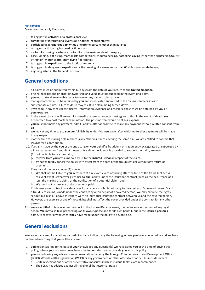#### **Not covered**

Cover does not apply if **you** are;

- 1. taking part in activities at a professional level;
- 2. competing at international events as a national representative;
- 3. participating in **hazardous activities** or extreme pursuits other than as listed;
- 4. racing or participating in speed or time trials;
- 5. motorbike touring or where a motorbike is the main mode of transport;
- 6. base Jumping, cliff diving, martial arts competitions, mountaineering, potholing, caving (other than sightseeing/tourist attraction) motor sports, stunt flying / aerobatics;
- 7. taking part in expeditions to the Arctic or Antarctic;
- 8. taking part in dangerous expeditions or the crewing of a vessel more than 60 miles from a safe haven;
- 9. anything listed in the General Exclusions.

# <span id="page-33-0"></span>**General conditions**

- 1. all claims must be submitted within 60 days from the date of **your** return to the **United Kingdom.**
- 2. original receipts and or proof of ownership and value must be supplied in the event of a claim.
- 3. **you** must take all reasonable steps to recover any lost or stolen article.
- 4. damaged articles must be retained by **you** and if requested submitted to the Claims Handlers so as to substantiate a claim. Failure to do so may result in a claim being turned down.
- 5. if **we** require any medical certificates, information, evidence and receipts, these must be obtained by **you** at **your e**xpense.
- 6. in the event of a claim, if **we** require a medical examination **you** must agree to this. In the event of death, **we**  are entitled to a post mortem examination. The post mortem would be at **our** expense.
- 7. **you** must not make any payment; admit liability, offer or promise to make any payment without written consent from **us**.
- 8. **we** may at any time pay to **you our** full liability under this insurance, after which no further payments will be made in any respect.
- 9. if at the time of making a claim there is any other insurance covering the same risk, **we** are entitled to contact that **insurer** for a contribution.
- 10. if a claim made by the **you** or anyone acting on **your** behalf is fraudulent or fraudulently exaggerated or supported by a false statement or fraudulent means or fraudulent evidence is provided to support the claim, **we** may:
	- (1) not be liable to pay the claim,
	- (2) recover from **you** any sums paid by us to the **Insured Person** in respect of the claim,
	- (3) by notice to **you** cancel the policy with effect from the date of the fraudulent act without any return of premium.
	- If **we** cancel the policy under (3) above:
	- a) **We** shall not be liable to **you** in respect of a relevant event occurring after the time of the fraudulent act. A relevant event is whatever gives rise to **our** liability under the insurance contract (such as the occurrence of a loss, the making of aclaim, or the notification of a potential claim); and,
	- b) **We** need not return any of the premiums paid.

If this insurance contract provides cover for any person who is not party to the contract ("a covered person") and a fraudulent claims is made under the contract by or on behalf of a covered person, **we** may exercise the rights set out in clause (1) above as if there were an individual insurance contract between **us** and the covered person. However, the exercise of any of those rights shall not affect the cover provided under the contract for any other person.

11. **we** are entitled to take over and conduct in the **Insured Persons** name, the defence or settlement of any legal action. **We** may also take proceedings at its own expense and for its own benefit, but in the **insured person's**  name, to recover any payment **they** have made under the policy to anyone else.

# <span id="page-33-1"></span>**General exclusions**

**You** are not covered for anything caused directly or indirectly by the following, unless **you** have contacted **us** and **we** have confirmed in writing that **you** will be covered:

- 1. **you** not answering to the best of **your** knowledge any question(s) **we** have asked **you** at the time of buying this policy, where **your** answer(s) may have affected **our** decision to provide **you** with this policy.
- 2. **you** not following any advice or recommendation made by the Foreign, Commonwealth and Development Office (FCDO), World Health Organization (WHO) or any government or other official authority. This includes where:
	- Certain vaccinations or other preventative measures (such as malaria tablets) are recommended.
	- The FCDO has advised against all travel or all but essential travel;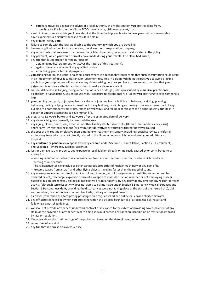- **You** have travelled against the advice of a local authority at any destination **you** are travelling from, through or to. For further details on FCDO travel advice, visi[t www.gov.uk/fcdo](http://www.gov.uk/fcdo)
- 3. a set of circumstances which **you** knew about at the time the trip was booked unless **you** could not reasonably have expected such circumstances to result in a claim;
- 4. any criminal act by **you**;
- 5. failure to comply with the laws applicable to the country in which **you** are travelling;
- 6. bankruptcy/liquidation of a tour operator, travel agent or transportation company;
- 7. any other costs that are caused by the event which led to a claim, unless specifically stated in the policy.
- 8. any payment, which **you** would normally have made during **your** travels, if no claim had arisen;.
- 9. any trip that is undertaken for the purpose of
	- obtaining medical treatment (whatever the nature of this treatment).
	- against the advice of a medically qualified doctor.
	- -- after being given a terminal prognosis.
- 10. **you** drinking too much alcohol or alcohol abuse where it is reasonably foreseeable that such consumption could result in an impairment of **your** faculties and/or judgement resulting in a claim. **We** do not expect **you** to avoid drinking alcohol on **your** trip but **we** will not cover any claims arising because **you** have drunk so much alcohol that **your**  judgement is seriously affected and **you** need to make a claim as a result.
- 11. suicide, deliberate self-injury, being under the influence of drugs (unless prescribed by a **medical practitioner**), alcoholism, drug addiction, solvent abuse, wilful exposure to exceptional risk (unless **you** are trying to save someone's life)
- 12. **you** climbing on top of, or jumping from a vehicle or jumping from a building or balcony, or sitting, planking, balconing, owling or lying on any external part of any building, or climbing or moving from any external part of any building to another(apart from stairs, ramps or walkways) and falling regardless of the height, unless **your** life is in danger or **you** are attempting to save human life.
- 13. pregnancy 12 weeks before and 12 weeks after the estimated date of delivery.
- 14. any claim arising from sexually transmitted diseases.
- 15. any injury, illness, death, loss, expenses or other liability attributable to HIV (Human Immunodeficiency Virus) and/or any HIV related illness and/or any mutant derivatives or variations thereof however caused.
- 16. the cost of any routine or elective (non-emergency) treatment or surgery, including specialist review or referral, exploratory tests which are not directly related to the illness or injury which necessitated **your** admittance to hospital.
- 17. any **epidemic** or **pandemic** except as expressly covered under Section 1 Cancellation, Section 2 Curtailment, and Section 3 - Emergency Medical Expenses.
- 18. loss or damage to any property and expense or legal liability, directly or indirectly caused by or contributed to or arising from:
	- -- Ionising radiation or radioactive contamination from any nuclear fuel or nuclear waste, which results in burning of nuclear fuel.
	- -- The radioactive toxic explosive or other dangerous properties of nuclear machinery or any part of it.
	- -- Pressure waves from aircraft and other flying objects travelling faster than the speed of sound.
- 19. any consequence whether direct or indirect of war, invasion, act of foreign enemy, hostilities (whether war be declared or not), discharge, explosion or use of a weapon of mass destruction whether or not employing nuclear fission or fusion, orchemical, biological, radioactive or similar agents, by any party at any time for any reason, terrorist activity (although terrorist activity does not apply to claims made under Section 3 Emergency Medical Expenses and Section 5 **Personal Accident**, providing the disturbances were not taking place at the start of the insured trip), civil war, rebellion, revolution, insurrection, blockade, military or usurped power.
- 20. air travel (other than as a fare-paying passenger on a regular scheduled airline or licensed charter aircraft).
- 21. any off-piste skiing except when **you** are skiing within the ski area boundaries of a recognised ski resort and following ski patrol guidelines.
- 22. **we** shall not provide any benefit under this contract of insurance to the extent of providing cover, payment of any claim or the provision of any benefit where doing so would breach any sanction, prohibition or restriction imposed by law or regulation.
- 23. if **you** are above the maximum age of the policy purchased on the date of inception or renewal.
- 24. **cyber risks** of any kind
- <span id="page-34-0"></span>25. any trip that is a cruise or involves cruise.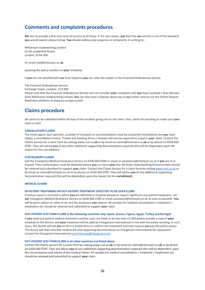# **Comments and complaints procedures**

**We** aim to provide a first class level of service at all times. If, for any reason, **you** feel that **our** service is not of the standard **you** would expect, please tell **us**. **You** should address any enquiries or complaints, in writing to:-

Millstream Underwriting Limited 52-56 Leadenhall Street, London, EC3A 2EB

Or email [mail@mstream.co.](mailto:mail@mstream.co.uk)**uk**

(quoting the policy number on **your** schedule)

If **you** are not satisfied with **our** final response **you** can refer the matter to the Financial Ombudsman Service.

The Financial Ombudsman Service

Exchange Tower, London , E14 9SR

Please note that the Financial Ombudsman Service will not consider **your** complaint until **you** have received a final decision from Millstream Underwriting Limited. **You** can also raise a dispute about any of **our** online services via the Online Dispute Resolution platform at [www.ec.europa.eu/odr](http://www.ec.europa.eu/odr)

# <span id="page-35-0"></span>**Claims procedure**

All claims to be submitted within 60 days of the incident giving rise to the claim. First, check this wording to make sure **your** claim is valid:

## **CANCELLATION CLAIMS**

The travel agent, tour operator, provider of transport or accommodation must be contacted immediately and **you** must obtain a cancellation invoice. Tickets and booking forms / receipts will also be required to support **your** claim. Contact the Claims Service for a claim form by visitin[g www.csal.co.](http://www.csal.co.uk/)**uk** or by email o[n claims@mstream.co.](mailto:claims@mstream.co.uk)**uk** or by phone on 0330 660 0785. They will advise **you** of any other additional supporting documentation required (this will be dependent upon the reason for the cancellation).

#### **CURTAILMENT CLAIMS**

Call the Emergency Medical Assistance Service on 0330 660 0785 or email on [assistance@mstream.co.uk i](mailto:assistance@mstream.co.uk)f **you** are ill or injured. Their authorisation must be obtained before **you** cut short **your** trip. All ticket stubs/booking forms/receipts should be retained and submitted to support **your** claim. Contact the Claims Service for a claim form by visitin[g www.csal.co.uk](http://www.csal.co.uk/) or by email o[n claims@mstream.co.uk o](mailto:claims@mstream.co.uk)r by phone on 0330 660 0785. They will advise **you** of any additional supporting documentation required (this will be dependent upon the reason for the **curtailment**).

## **MEDICAL CLAIMS**

### **IN-PATIENT TREATMENT OR OUT-PATIENT TREATMENT EXPECTED TO BE OVER £1,000**

If serious injury is incurred in which **you** are admitted to hospital abroad or require significant out-patient treatment, call **our** Emergency Medical Assistance Service on 0330 660 0785 or email [assistance@mstream.co.uk a](mailto:assistance@mstream.co.uk)s soon as possible. **You** will be given advice on what to do and the assistance **you** require. All receipts for medical consultations / treatment / medication etc should be retained and submitted to support **your** claim.

#### **OUT-PATIENT LESS THAN £1,000 in the following countries only: Spain, Greece, Cyprus, Egypt, Turkey and Portugal**

If **you** need out-patient medical treatment and the costs are likely to be less than £1,000 please provide a copy of **your** schedule to the doctor, and **your** treatment will be paid by ChargeCare International in line with the policy wording. In such cases, the doctor will ask **you** to fill in a simple form to confirm the treatment and may request **you** pay the policy excess. The doctor will then send the medical bill and supporting documentation to ChargeCare International for repayment. Contact for Chargecare International [newcliniccase@chargecare.net](mailto:newcliniccase@chargecare.net)

#### **OUT-PATIENT LESS THAN £1,000 in all other countries not listed above**

Contact the Claims Service for a claim form by visiting [www.csal.co.](http://www.csal.co.uk/)**uk** or by email on [claims@mstream.co.](mailto:claims@mstream.co.uk)**uk** or by phone on 0330 660 0785. They will advise **you** of any additional supporting documentation required (this will be dependent upon the circumstances and nature of the medical claim). All receipts for medical consultations / treatment / medication etc should be retained and submitted to support **your** claim.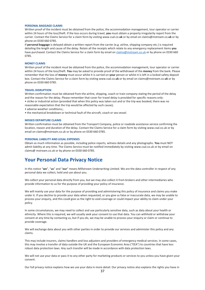#### **PERSONAL BAGGAGE CLAIMS**

Written proof of the incident must be obtained from the police, the accommodation management, tour operator or carrier within 24 hours of the loss/theft. If the loss occurs during travel, **you** must obtain a property irregularity report from the carrier. Contact the Claims Service for a claim form by visitin[g www.csal.co.](http://www.csal.co.uk/)**uk** or by email o[n claims@mstream.co.](mailto:claims@mstream.co.uk)**uk** or by phone on 0330 660 0785.

If **personal baggage** is delayed obtain a written report from the carrier (e.g. airline, shipping company etc.) is required detailing the length and cause of the delay. Retain all the receipts which relate to any emergency replacement items **you** have purchased. Contact the Claims Service for a claim form by email on [claims@mstream.co.uk](mailto:claims@mstream.co.uk) or by phone on 0330 660 0785.

## **MONEY CLAIMS**

Written proof of the incident must be obtained from the police, the accommodation management, tour operator or carrier within 24 hours of the loss/theft. **You** may be asked to provide proof of the withdrawal of the **money** from the bank. Please remember that the loss of **money** must occur whilst it is carried on **your** person or whilst it is left in a locked safety deposit box. Contact the Claims Service for a claim form by visitin[g www.csal.co.](http://www.csal.co.uk/)**uk** or by email o[n claims@mstream.co.](mailto:claims@mstream.co.uk)**uk** or by phone on 0330 660 0785.

#### **TRAVEL DISRUPTION**

Written confirmation must be obtained from the airline, shipping, coach or train company stating the period of the delay and the reason for the delay. Please remember that cover for travel delay is provided for specific reasons only: • strike or industrial action (provided that when this policy was taken out and or the trip was booked, there was no reasonable expectation that the trip would be affected by such cause);

- adverse weather conditions;;
- the mechanical breakdown or technical fault of the aircraft, coach or sea vessel.

## **MISSED DEPARTURE CLAIMS**

Written confirmation must be obtained from the Transport Company, police or roadside assistance service confirming the location, reason and duration of the delay. Contact the Claims Service for a claim form by visitin[g www.csal.co.uk o](http://www.csal.co.uk/)r by email on [claims@mstream.co.uk](mailto:claims@mstream.co.uk) or by phone on 0330 660 0785.

## **PERSONAL LIABILITY AND LEGAL EXPENSES**

Obtain as much information as possible, including police reports, witness details and any photographs. **You** must NOT admit liability at any time. The Claims Service must be notified immediately by visiting [www.csal.co.uk o](http://www.csal.co.uk/)r by email on claims@ mstream.co.uk or by phone on 0330 660 0785.

# <span id="page-36-0"></span>**Your Personal Data Privacy Notice**

In this notice "**we**", "**us**" and "**our**" means Millstream Underwriting Limited. We are the data controller in respect of any personal data we collect, hold and use about you.

We collect your personal data directly from you, but we may also collect it from brokers and other intermediaries who provide information to us for the purpose of providing your policy of insurance.

We will mainly use your data for the purpose of providing and administering this policy of insurance and claims you make under it. If you decline to provide your data when requested, or you give us false or inaccurate data, we may be unable to process your enquiry, and this could give us the right to void coverage or could impact your ability to claim under your policy.

In some circumstances, we may need to collect and use particularly sensitive data, such as data about your health or ethnicity. Where this is required, we will usually seek your consent to use that data. You can withhold or withdraw your consent at any time by contacting us, but if you do, we may be unable to process your enquiry or claim or continue to provide coverage.

We will exchange data about you with other parties in order to provide our services and administer this policy and any claims.

This may include insurers, claims handlers and loss adjusters and providers of emergency medical services. In some cases, this may involve a transfer of data outside the UK and the European Economic Area ("EEA") to countries that have less robust data protection laws. Any such transfer will be made in accordance with data protection laws.

We will not use your data or pass it to any other party for marketing products or services to you unless you have given your consent.

Our full privacy notice explains how we use your data in more detail. Our privacy notice also explains the rights you have in